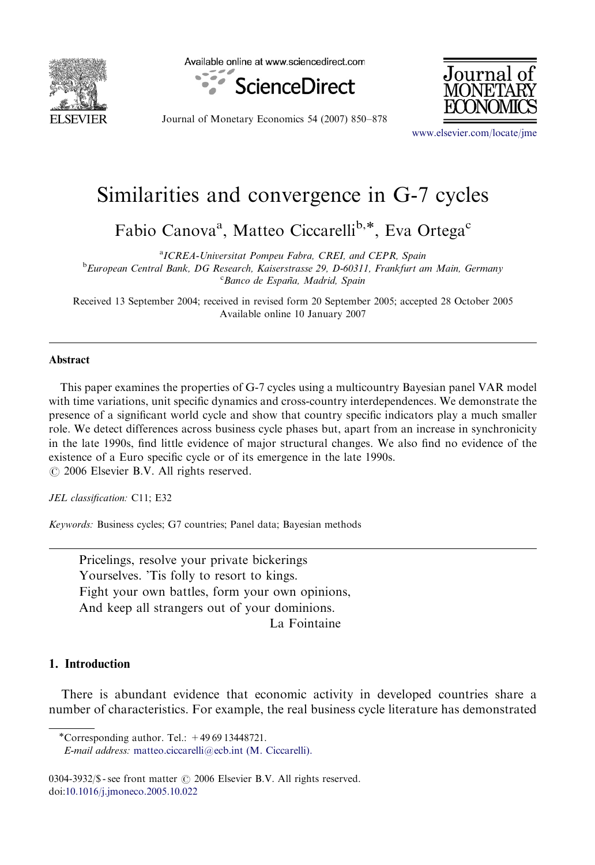

Available online at www.sciencedirect.com





Journal of Monetary Economics 54 (2007) 850–878

<www.elsevier.com/locate/jme>

# Similarities and convergence in G-7 cycles

Fabio Canova<sup>a</sup>, Matteo Ciccarelli<sup>b,\*</sup>, Eva Ortega<sup>c</sup>

<sup>a</sup>ICREA-Universitat Pompeu Fabra, CREI, and CEPR, Spain <sup>b</sup>European Central Bank, DG Research, Kaiserstrasse 29, D-60311, Frankfurt am Main, Germany <sup>c</sup> Banco de España, Madrid, Spain

Received 13 September 2004; received in revised form 20 September 2005; accepted 28 October 2005 Available online 10 January 2007

### Abstract

This paper examines the properties of G-7 cycles using a multicountry Bayesian panel VAR model with time variations, unit specific dynamics and cross-country interdependences. We demonstrate the presence of a significant world cycle and show that country specific indicators play a much smaller role. We detect differences across business cycle phases but, apart from an increase in synchronicity in the late 1990s, find little evidence of major structural changes. We also find no evidence of the existence of a Euro specific cycle or of its emergence in the late 1990s.  $O$  2006 Elsevier B.V. All rights reserved.

JEL classification: C11; E32

Keywords: Business cycles; G7 countries; Panel data; Bayesian methods

Pricelings, resolve your private bickerings Yourselves. 'Tis folly to resort to kings. Fight your own battles, form your own opinions, And keep all strangers out of your dominions. La Fointaine

# 1. Introduction

There is abundant evidence that economic activity in developed countries share a number of characteristics. For example, the real business cycle literature has demonstrated

<sup>-</sup>Corresponding author. Tel.: +49 69 13448721.

E-mail address: [matteo.ciccarelli@ecb.int \(M. Ciccarelli\).](mailto:matteo.ciccarelli@ecb.int)

<sup>0304-3932/\$ -</sup> see front matter  $\odot$  2006 Elsevier B.V. All rights reserved. doi[:10.1016/j.jmoneco.2005.10.022](dx.doi.org/10.1016/j.jmoneco.2005.10.022)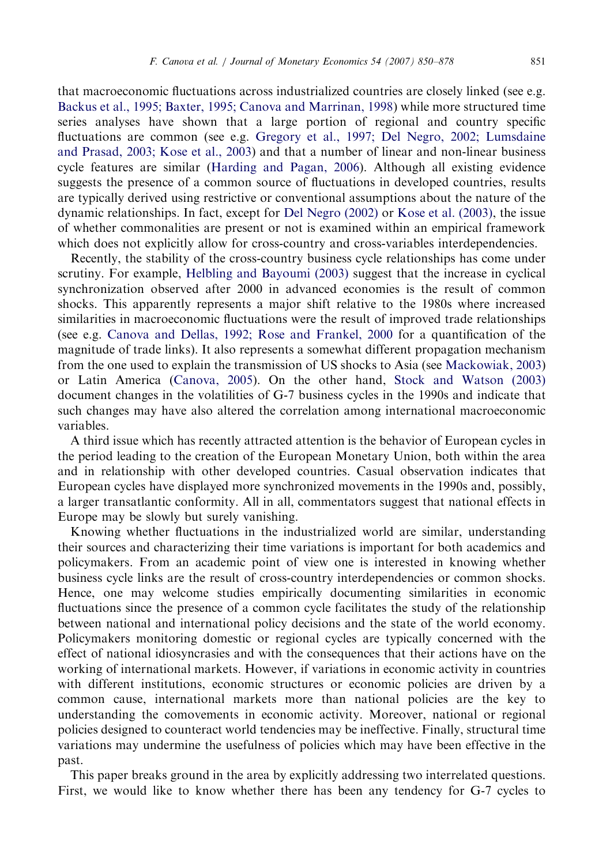that macroeconomic fluctuations across industrialized countries are closely linked (see e.g. [Backus et al., 1995; Baxter, 1995; Canova and Marrinan, 1998](#page-27-0)) while more structured time series analyses have shown that a large portion of regional and country specific fluctuations are common (see e.g. [Gregory et al., 1997; Del Negro, 2002; Lumsdaine](#page-28-0) [and Prasad, 2003; Kose et al., 2003\)](#page-28-0) and that a number of linear and non-linear business cycle features are similar [\(Harding and Pagan, 2006\)](#page-28-0). Although all existing evidence suggests the presence of a common source of fluctuations in developed countries, results are typically derived using restrictive or conventional assumptions about the nature of the dynamic relationships. In fact, except for [Del Negro \(2002\)](#page-28-0) or [Kose et al. \(2003\),](#page-28-0) the issue of whether commonalities are present or not is examined within an empirical framework which does not explicitly allow for cross-country and cross-variables interdependencies.

Recently, the stability of the cross-country business cycle relationships has come under scrutiny. For example, [Helbling and Bayoumi \(2003\)](#page-28-0) suggest that the increase in cyclical synchronization observed after 2000 in advanced economies is the result of common shocks. This apparently represents a major shift relative to the 1980s where increased similarities in macroeconomic fluctuations were the result of improved trade relationships (see e.g. [Canova and Dellas, 1992; Rose and Frankel, 2000](#page-27-0) for a quantification of the magnitude of trade links). It also represents a somewhat different propagation mechanism from the one used to explain the transmission of US shocks to Asia (see [Mackowiak, 2003](#page-28-0)) or Latin America ([Canova, 2005\)](#page-27-0). On the other hand, [Stock and Watson \(2003\)](#page-28-0) document changes in the volatilities of G-7 business cycles in the 1990s and indicate that such changes may have also altered the correlation among international macroeconomic variables.

A third issue which has recently attracted attention is the behavior of European cycles in the period leading to the creation of the European Monetary Union, both within the area and in relationship with other developed countries. Casual observation indicates that European cycles have displayed more synchronized movements in the 1990s and, possibly, a larger transatlantic conformity. All in all, commentators suggest that national effects in Europe may be slowly but surely vanishing.

Knowing whether fluctuations in the industrialized world are similar, understanding their sources and characterizing their time variations is important for both academics and policymakers. From an academic point of view one is interested in knowing whether business cycle links are the result of cross-country interdependencies or common shocks. Hence, one may welcome studies empirically documenting similarities in economic fluctuations since the presence of a common cycle facilitates the study of the relationship between national and international policy decisions and the state of the world economy. Policymakers monitoring domestic or regional cycles are typically concerned with the effect of national idiosyncrasies and with the consequences that their actions have on the working of international markets. However, if variations in economic activity in countries with different institutions, economic structures or economic policies are driven by a common cause, international markets more than national policies are the key to understanding the comovements in economic activity. Moreover, national or regional policies designed to counteract world tendencies may be ineffective. Finally, structural time variations may undermine the usefulness of policies which may have been effective in the past.

This paper breaks ground in the area by explicitly addressing two interrelated questions. First, we would like to know whether there has been any tendency for G-7 cycles to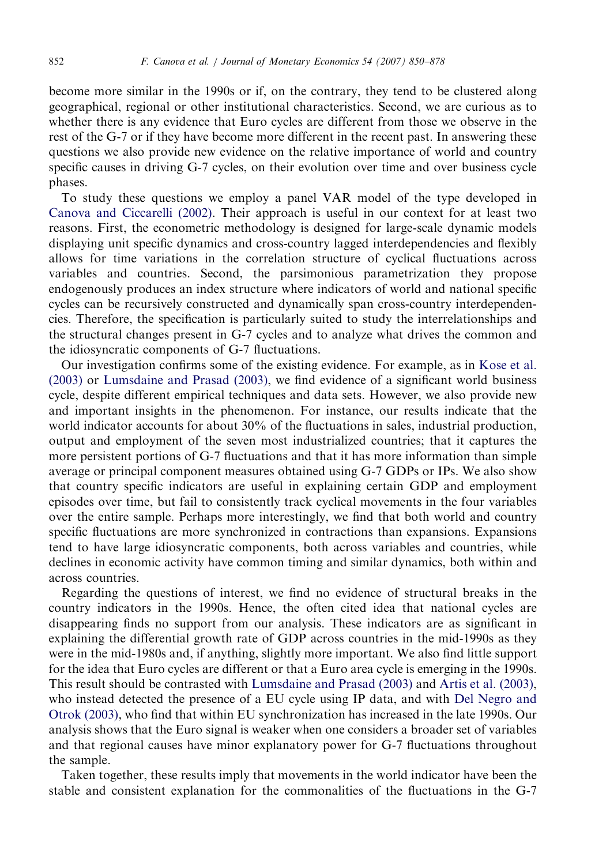become more similar in the 1990s or if, on the contrary, they tend to be clustered along geographical, regional or other institutional characteristics. Second, we are curious as to whether there is any evidence that Euro cycles are different from those we observe in the rest of the G-7 or if they have become more different in the recent past. In answering these questions we also provide new evidence on the relative importance of world and country specific causes in driving G-7 cycles, on their evolution over time and over business cycle phases.

To study these questions we employ a panel VAR model of the type developed in [Canova and Ciccarelli \(2002\).](#page-27-0) Their approach is useful in our context for at least two reasons. First, the econometric methodology is designed for large-scale dynamic models displaying unit specific dynamics and cross-country lagged interdependencies and flexibly allows for time variations in the correlation structure of cyclical fluctuations across variables and countries. Second, the parsimonious parametrization they propose endogenously produces an index structure where indicators of world and national specific cycles can be recursively constructed and dynamically span cross-country interdependencies. Therefore, the specification is particularly suited to study the interrelationships and the structural changes present in G-7 cycles and to analyze what drives the common and the idiosyncratic components of G-7 fluctuations.

Our investigation confirms some of the existing evidence. For example, as in [Kose et al.](#page-28-0) [\(2003\)](#page-28-0) or [Lumsdaine and Prasad \(2003\),](#page-28-0) we find evidence of a significant world business cycle, despite different empirical techniques and data sets. However, we also provide new and important insights in the phenomenon. For instance, our results indicate that the world indicator accounts for about 30% of the fluctuations in sales, industrial production, output and employment of the seven most industrialized countries; that it captures the more persistent portions of G-7 fluctuations and that it has more information than simple average or principal component measures obtained using G-7 GDPs or IPs. We also show that country specific indicators are useful in explaining certain GDP and employment episodes over time, but fail to consistently track cyclical movements in the four variables over the entire sample. Perhaps more interestingly, we find that both world and country specific fluctuations are more synchronized in contractions than expansions. Expansions tend to have large idiosyncratic components, both across variables and countries, while declines in economic activity have common timing and similar dynamics, both within and across countries.

Regarding the questions of interest, we find no evidence of structural breaks in the country indicators in the 1990s. Hence, the often cited idea that national cycles are disappearing finds no support from our analysis. These indicators are as significant in explaining the differential growth rate of GDP across countries in the mid-1990s as they were in the mid-1980s and, if anything, slightly more important. We also find little support for the idea that Euro cycles are different or that a Euro area cycle is emerging in the 1990s. This result should be contrasted with [Lumsdaine and Prasad \(2003\)](#page-28-0) and [Artis et al. \(2003\),](#page-27-0) who instead detected the presence of a EU cycle using IP data, and with [Del Negro and](#page-28-0) [Otrok \(2003\)](#page-28-0), who find that within EU synchronization has increased in the late 1990s. Our analysis shows that the Euro signal is weaker when one considers a broader set of variables and that regional causes have minor explanatory power for G-7 fluctuations throughout the sample.

Taken together, these results imply that movements in the world indicator have been the stable and consistent explanation for the commonalities of the fluctuations in the G-7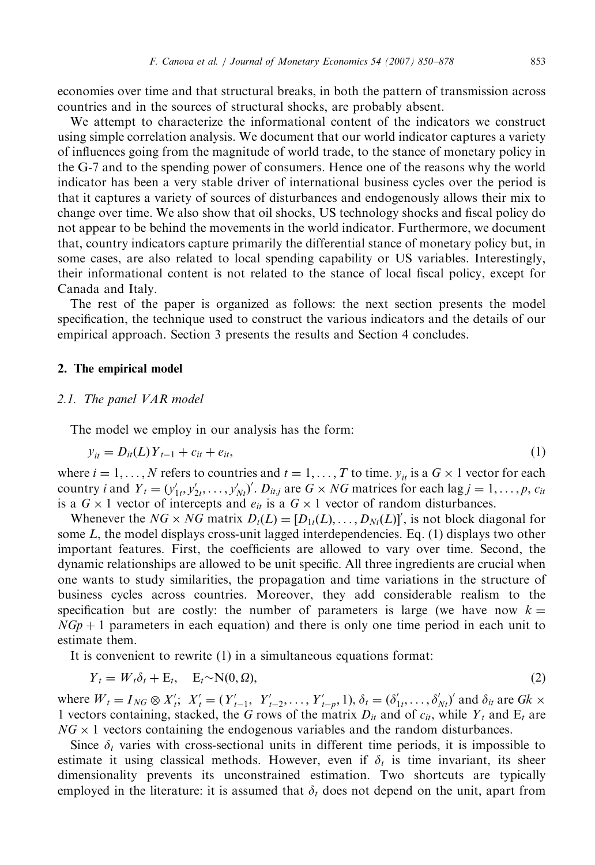economies over time and that structural breaks, in both the pattern of transmission across countries and in the sources of structural shocks, are probably absent.

We attempt to characterize the informational content of the indicators we construct using simple correlation analysis. We document that our world indicator captures a variety of influences going from the magnitude of world trade, to the stance of monetary policy in the G-7 and to the spending power of consumers. Hence one of the reasons why the world indicator has been a very stable driver of international business cycles over the period is that it captures a variety of sources of disturbances and endogenously allows their mix to change over time. We also show that oil shocks, US technology shocks and fiscal policy do not appear to be behind the movements in the world indicator. Furthermore, we document that, country indicators capture primarily the differential stance of monetary policy but, in some cases, are also related to local spending capability or US variables. Interestingly, their informational content is not related to the stance of local fiscal policy, except for Canada and Italy.

The rest of the paper is organized as follows: the next section presents the model specification, the technique used to construct the various indicators and the details of our empirical approach. Section 3 presents the results and Section 4 concludes.

#### 2. The empirical model

# 2.1. The panel VAR model

The model we employ in our analysis has the form:

$$
y_{it} = D_{it}(L)Y_{t-1} + c_{it} + e_{it},
$$
\n(1)

where  $i = 1, \ldots, N$  refers to countries and  $t = 1, \ldots, T$  to time.  $y_{it}$  is a  $G \times 1$  vector for each country *i* and  $Y_t = (y'_{1t}, y'_{2t}, \dots, y'_{Nt})'$ .  $D_{it,j}$  are  $G \times NG$  matrices for each lag  $j = 1, \dots, p$ ,  $c_{it}$ is a  $G \times 1$  vector of intercepts and  $e_{it}$  is a  $G \times 1$  vector of random disturbances.

Whenever the  $NG \times NG$  matrix  $D_t(L) = [D_{1t}(L), \ldots, D_{Nt}(L)]'$ , is not block diagonal for some L, the model displays cross-unit lagged interdependencies. Eq. (1) displays two other important features. First, the coefficients are allowed to vary over time. Second, the dynamic relationships are allowed to be unit specific. All three ingredients are crucial when one wants to study similarities, the propagation and time variations in the structure of business cycles across countries. Moreover, they add considerable realism to the specification but are costly: the number of parameters is large (we have now  $k =$  $NGp + 1$  parameters in each equation) and there is only one time period in each unit to estimate them.

It is convenient to rewrite (1) in a simultaneous equations format:

$$
Y_t = W_t \delta_t + \mathbf{E}_t, \quad \mathbf{E}_t \sim \mathbf{N}(0, \Omega), \tag{2}
$$

where  $W_t = I_{NG} \otimes X'_t$ ;  $X'_t = (Y'_{t-1}, Y'_{t-2}, \dots, Y'_{t-p}, 1), \delta_t = (\delta'_{1t}, \dots, \delta'_{Nt})'$  and  $\delta_{it}$  are  $Gk \times$ 1 vectors containing, stacked, the G rows of the matrix  $D_{it}$  and of  $c_{it}$ , while  $Y_t$  and  $E_t$  are  $NG \times 1$  vectors containing the endogenous variables and the random disturbances.

Since  $\delta_t$  varies with cross-sectional units in different time periods, it is impossible to estimate it using classical methods. However, even if  $\delta_t$  is time invariant, its sheer dimensionality prevents its unconstrained estimation. Two shortcuts are typically employed in the literature: it is assumed that  $\delta_t$  does not depend on the unit, apart from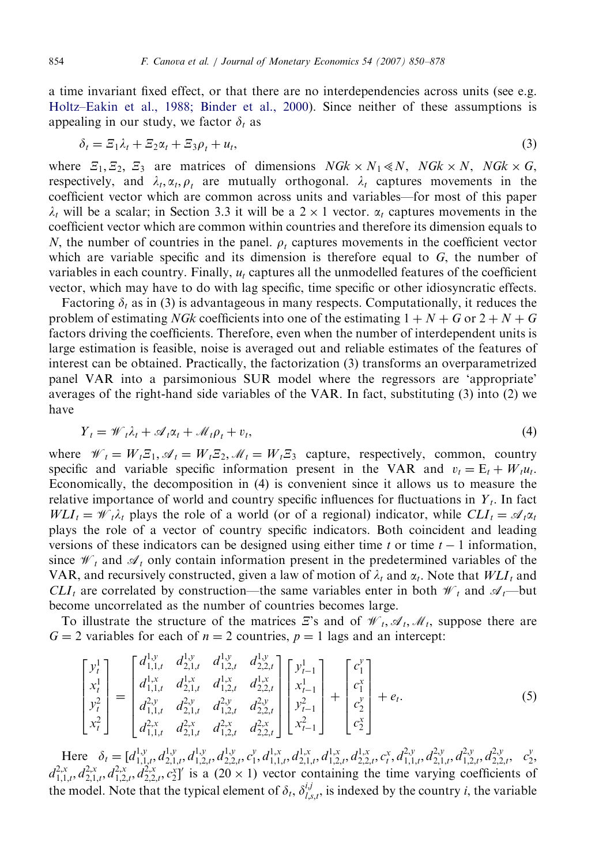a time invariant fixed effect, or that there are no interdependencies across units (see e.g. [Holtz–Eakin et al., 1988; Binder et al., 2000\)](#page-28-0). Since neither of these assumptions is appealing in our study, we factor  $\delta_t$  as

$$
\delta_t = \Xi_1 \lambda_t + \Xi_2 \alpha_t + \Xi_3 \rho_t + u_t,\tag{3}
$$

where  $\mathcal{E}_1, \mathcal{E}_2, \mathcal{E}_3$  are matrices of dimensions  $NGk \times N_1 \ll N$ ,  $NGk \times N$ ,  $NGk \times G$ , respectively, and  $\lambda_t$ ,  $\alpha_t$ ,  $\rho_t$ , are mutually orthogonal.  $\lambda_t$  captures movements in the coefficient vector which are common across units and variables—for most of this paper  $\lambda_t$  will be a scalar; in Section 3.3 it will be a 2  $\times$  1 vector.  $\alpha_t$  captures movements in the coefficient vector which are common within countries and therefore its dimension equals to N, the number of countries in the panel.  $\rho_t$  captures movements in the coefficient vector which are variable specific and its dimension is therefore equal to  $G$ , the number of variables in each country. Finally,  $u_t$  captures all the unmodelled features of the coefficient vector, which may have to do with lag specific, time specific or other idiosyncratic effects.

Factoring  $\delta_t$  as in (3) is advantageous in many respects. Computationally, it reduces the problem of estimating NGk coefficients into one of the estimating  $1 + N + G$  or  $2 + N + G$ factors driving the coefficients. Therefore, even when the number of interdependent units is large estimation is feasible, noise is averaged out and reliable estimates of the features of interest can be obtained. Practically, the factorization (3) transforms an overparametrized panel VAR into a parsimonious SUR model where the regressors are 'appropriate' averages of the right-hand side variables of the VAR. In fact, substituting (3) into (2) we have

$$
Y_t = \mathcal{W}_t \lambda_t + \mathcal{A}_t \alpha_t + \mathcal{M}_t \rho_t + v_t, \tag{4}
$$

where  $W_t = W_t \Sigma_1, \mathcal{A}_t = W_t \Sigma_2, \mathcal{M}_t = W_t \Sigma_3$  capture, respectively, common, country specific and variable specific information present in the VAR and  $v_t = E_t + W_t u_t$ . Economically, the decomposition in (4) is convenient since it allows us to measure the relative importance of world and country specific influences for fluctuations in  $Y_t$ . In fact  $WLI_t = W_t \lambda_t$  plays the role of a world (or of a regional) indicator, while  $CLI_t = \mathcal{A}_t \alpha_t$ plays the role of a vector of country specific indicators. Both coincident and leading versions of these indicators can be designed using either time t or time  $t-1$  information, since  $\mathcal{W}_t$  and  $\mathcal{A}_t$  only contain information present in the predetermined variables of the VAR, and recursively constructed, given a law of motion of  $\lambda_t$  and  $\alpha_t$ . Note that  $WLI_t$  and  $CLI<sub>t</sub>$  are correlated by construction—the same variables enter in both  $\mathcal{W}<sub>t</sub>$  and  $\mathcal{A}<sub>t</sub>$ —but become uncorrelated as the number of countries becomes large.

To illustrate the structure of the matrices  $\vec{E}$ 's and of  $\mathcal{W}_t, \mathcal{A}_t, \mathcal{M}_t$ , suppose there are  $G = 2$  variables for each of  $n = 2$  countries,  $p = 1$  lags and an intercept:

$$
\begin{bmatrix} y_t^1 \\ x_t^1 \\ y_t^2 \\ x_t^2 \end{bmatrix} = \begin{bmatrix} d_{1,1,t}^{1,y} & d_{2,1,t}^{1,y} & d_{1,2,t}^{1,y} & d_{2,2,t}^{1,y} \\ d_{1,1,t}^{1,x} & d_{2,1,t}^{1,x} & d_{1,2,t}^{1,x} & d_{2,2,t}^{1,x} \\ d_{1,1,t}^{2,y} & d_{2,1,t}^{2,y} & d_{1,2,t}^{2,y} & d_{2,2,t}^{2,y} \\ d_{1,1,t}^{2,x} & d_{2,1,t}^{2,x} & d_{1,2,t}^{2,x} & d_{2,2,t}^{2,x} \end{bmatrix} \begin{bmatrix} y_{t-1}^1 \\ x_{t-1}^1 \\ y_{t-1}^2 \\ y_{t-1}^2 \\ x_{t-1}^2 \end{bmatrix} + \begin{bmatrix} c_1^y \\ c_1^x \\ c_2^y \\ c_2^z \end{bmatrix} + e_t.
$$
 (5)

Here  $\delta_t = [d_{1,1,t}^{1,y}, d_{2,1,t}^{1,y}, d_{1,2,t}^{1,y}, d_{2,2,t}^{1,y}, c_1^y, d_{1,1,t}^{1,x}, d_{2,1,t}^{1,x}, d_{1,2,t}^{1,x}, d_{2,2,t}^{1,x}, c_t^x, d_{1,1,t}^{2,y}, d_{2,1,t}^{2,y}, d_{1,2,t}^{2,y}, d_{2,2,t}^{2,y}, c_2^y,$  $d_{1,1,t}^{2,x}, d_{2,1,t}^{2,x}, d_{1,2,t}^{2,x}, d_{2,2,t}^{2,x}, c_2^{x}$  is a  $(20 \times 1)$  vector containing the time varying coefficients of the model. Note that the typical element of  $\delta_t$ ,  $\delta_{l,s,t}^{i,j}$ , is indexed by the country *i*, the variable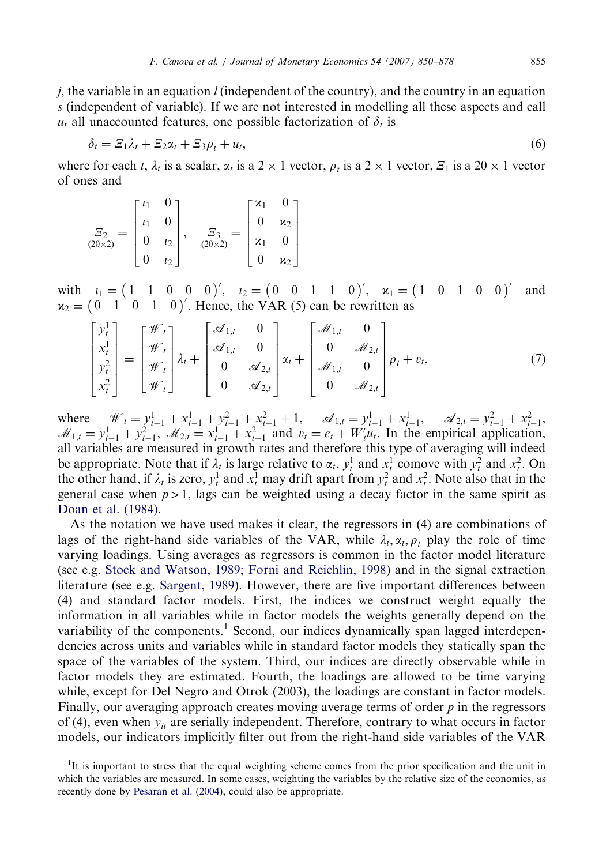*j*, the variable in an equation *l* (independent of the country), and the country in an equation s (independent of variable). If we are not interested in modelling all these aspects and call  $u_t$  all unaccounted features, one possible factorization of  $\delta_t$  is

$$
\delta_t = \Xi_1 \lambda_t + \Xi_2 \alpha_t + \Xi_3 \rho_t + u_t,\tag{6}
$$

where for each t,  $\lambda_t$  is a scalar,  $\alpha_t$  is a 2  $\times$  1 vector,  $\rho_t$  is a 2  $\times$  1 vector,  $\Xi_1$  is a 20  $\times$  1 vector of ones and

$$
\underline{E}_2 = \begin{bmatrix} \iota_1 & 0 \\ \iota_1 & 0 \\ 0 & \iota_2 \\ 0 & \iota_2 \end{bmatrix}, \quad \underline{E}_3 = \begin{bmatrix} \kappa_1 & 0 \\ 0 & \kappa_2 \\ \kappa_1 & 0 \\ 0 & \kappa_2 \end{bmatrix}
$$

with  $i_1 = (1 \ 1 \ 0 \ 0 \ 0)'$ ,  $i_2 = (0 \ 0 \ 1 \ 1 \ 0)'$ ,  $\mathbf{x}_1 = (1 \ 0 \ 1 \ 0 \ 0)'$  and  $x_2 = (0 \quad 1 \quad 0 \quad 1 \quad 0)'$ . Hence, the VAR (5) can be rewritten as

$$
\begin{bmatrix} y_t^1 \\ x_t^1 \\ y_t^2 \\ x_t^2 \end{bmatrix} = \begin{bmatrix} \mathcal{W}_t \\ \mathcal{W}_t \\ \mathcal{W}_t \end{bmatrix} \lambda_t + \begin{bmatrix} \mathcal{A}_{1,t} & 0 \\ \mathcal{A}_{1,t} & 0 \\ 0 & \mathcal{A}_{2,t} \\ 0 & \mathcal{A}_{2,t} \end{bmatrix} \alpha_t + \begin{bmatrix} \mathcal{M}_{1,t} & 0 \\ 0 & \mathcal{M}_{2,t} \\ \mathcal{M}_{1,t} & 0 \\ 0 & \mathcal{M}_{2,t} \end{bmatrix} \rho_t + v_t, \tag{7}
$$

where  $\mathcal{W}_t = y_{t-1}^1 + x_{t-1}^1 + y_{t-1}^2 + x_{t-1}^2 + 1, \quad \mathcal{A}_{1,t} = y_{t-1}^1 + x_{t-1}^1, \quad \mathcal{A}_{2,t} = y_{t-1}^2 + x_{t-1}^2,$  $M_{1,t} = y_{t-1}^1 + y_{t-1}^2$ ,  $M_{2,t} = x_{t-1}^1 + x_{t-1}^2$  and  $v_t = e_t + W_t' u_t$ . In the empirical application, all variables are measured in growth rates and therefore this type of averaging will indeed be appropriate. Note that if  $\lambda_t$  is large relative to  $\alpha_t$ ,  $y_t^1$  and  $x_t^1$  comove with  $y_t^2$  and  $x_t^2$ . On the other hand, if  $\lambda_t$  is zero,  $y_t^1$  and  $x_t^1$  may drift apart from  $y_t^2$  and  $x_t^2$ . Note also that in the general case when  $p>1$ , lags can be weighted using a decay factor in the same spirit as [Doan et al. \(1984\)](#page-28-0).

As the notation we have used makes it clear, the regressors in (4) are combinations of lags of the right-hand side variables of the VAR, while  $\lambda_t$ ,  $\alpha_t$ ,  $\rho$ , play the role of time varying loadings. Using averages as regressors is common in the factor model literature (see e.g. [Stock and Watson, 1989; Forni and Reichlin, 1998\)](#page-28-0) and in the signal extraction literature (see e.g. [Sargent, 1989\)](#page-28-0). However, there are five important differences between (4) and standard factor models. First, the indices we construct weight equally the information in all variables while in factor models the weights generally depend on the variability of the components.<sup>1</sup> Second, our indices dynamically span lagged interdependencies across units and variables while in standard factor models they statically span the space of the variables of the system. Third, our indices are directly observable while in factor models they are estimated. Fourth, the loadings are allowed to be time varying while, except for Del Negro and Otrok (2003), the loadings are constant in factor models. Finally, our averaging approach creates moving average terms of order  $p$  in the regressors of (4), even when  $y_{ii}$  are serially independent. Therefore, contrary to what occurs in factor models, our indicators implicitly filter out from the right-hand side variables of the VAR

<sup>&</sup>lt;sup>1</sup>It is important to stress that the equal weighting scheme comes from the prior specification and the unit in which the variables are measured. In some cases, weighting the variables by the relative size of the economies, as recently done by [Pesaran et al. \(2004\)](#page-28-0), could also be appropriate.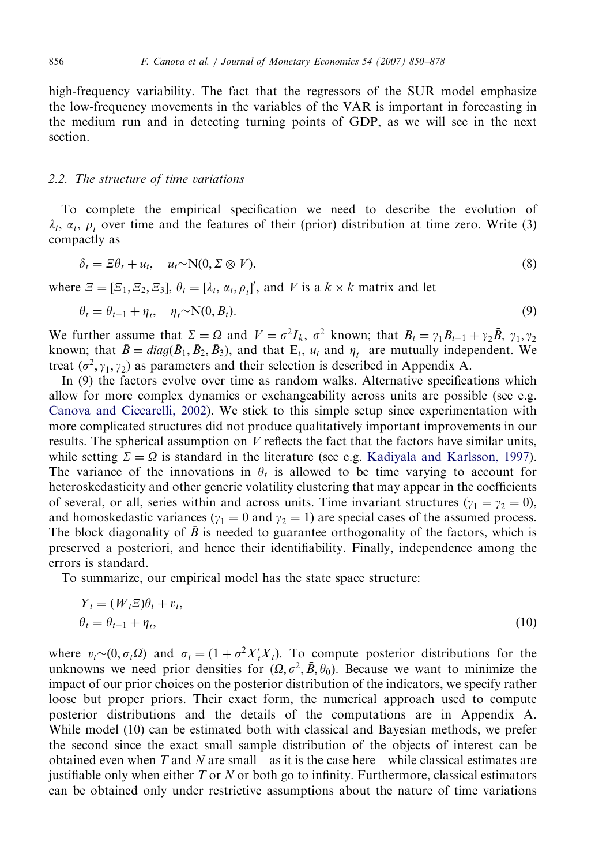high-frequency variability. The fact that the regressors of the SUR model emphasize the low-frequency movements in the variables of the VAR is important in forecasting in the medium run and in detecting turning points of GDP, as we will see in the next section.

#### 2.2. The structure of time variations

To complete the empirical specification we need to describe the evolution of  $\lambda_t$ ,  $\alpha_t$ ,  $\rho_t$  over time and the features of their (prior) distribution at time zero. Write (3) compactly as

$$
\delta_t = \Xi \theta_t + u_t, \quad u_t \sim N(0, \Sigma \otimes V), \tag{8}
$$

where  $\mathcal{Z} = [\mathcal{Z}_1, \mathcal{Z}_2, \mathcal{Z}_3], \theta_t = [\lambda_t, \alpha_t, \rho_t]'$ , and V is a  $k \times k$  matrix and let

$$
\theta_t = \theta_{t-1} + \eta_t, \quad \eta_t \sim N(0, B_t). \tag{9}
$$

We further assume that  $\Sigma = \Omega$  and  $V = \sigma^2 I_k$ ,  $\sigma^2$  known; that  $B_t = \gamma_1 B_{t-1} + \gamma_2 \bar{B}$ ,  $\gamma_1, \gamma_2$ known; that  $\bar{B} = diag(\bar{B}_1, \bar{B}_2, \bar{B}_3)$ , and that E<sub>t</sub>,  $u_t$  and  $\eta_t$  are mutually independent. We treat  $(\sigma^2, \gamma_1, \gamma_2)$  as parameters and their selection is described in Appendix A.

In (9) the factors evolve over time as random walks. Alternative specifications which allow for more complex dynamics or exchangeability across units are possible (see e.g. [Canova and Ciccarelli, 2002](#page-27-0)). We stick to this simple setup since experimentation with more complicated structures did not produce qualitatively important improvements in our results. The spherical assumption on  $V$  reflects the fact that the factors have similar units, while setting  $\Sigma = \Omega$  is standard in the literature (see e.g. [Kadiyala and Karlsson, 1997](#page-28-0)). The variance of the innovations in  $\theta_t$  is allowed to be time varying to account for heteroskedasticity and other generic volatility clustering that may appear in the coefficients of several, or all, series within and across units. Time invariant structures  $(\gamma_1 = \gamma_2 = 0)$ , and homoskedastic variances ( $y_1 = 0$  and  $y_2 = 1$ ) are special cases of the assumed process. The block diagonality of  $\bar{B}$  is needed to guarantee orthogonality of the factors, which is preserved a posteriori, and hence their identifiability. Finally, independence among the errors is standard.

To summarize, our empirical model has the state space structure:

$$
Y_t = (W_t \Sigma) \theta_t + v_t,
$$
  
\n
$$
\theta_t = \theta_{t-1} + \eta_t,
$$
\n(10)

where  $v_t \sim (0, \sigma_t \Omega)$  and  $\sigma_t = (1 + \sigma^2 X_t X_t)$ . To compute posterior distributions for the unknowns we need prior densities for  $(\Omega, \sigma^2, \bar{B}, \theta_0)$ . Because we want to minimize the impact of our prior choices on the posterior distribution of the indicators, we specify rather loose but proper priors. Their exact form, the numerical approach used to compute posterior distributions and the details of the computations are in Appendix A. While model (10) can be estimated both with classical and Bayesian methods, we prefer the second since the exact small sample distribution of the objects of interest can be obtained even when  $T$  and  $N$  are small—as it is the case here—while classical estimates are justifiable only when either  $T$  or  $N$  or both go to infinity. Furthermore, classical estimators can be obtained only under restrictive assumptions about the nature of time variations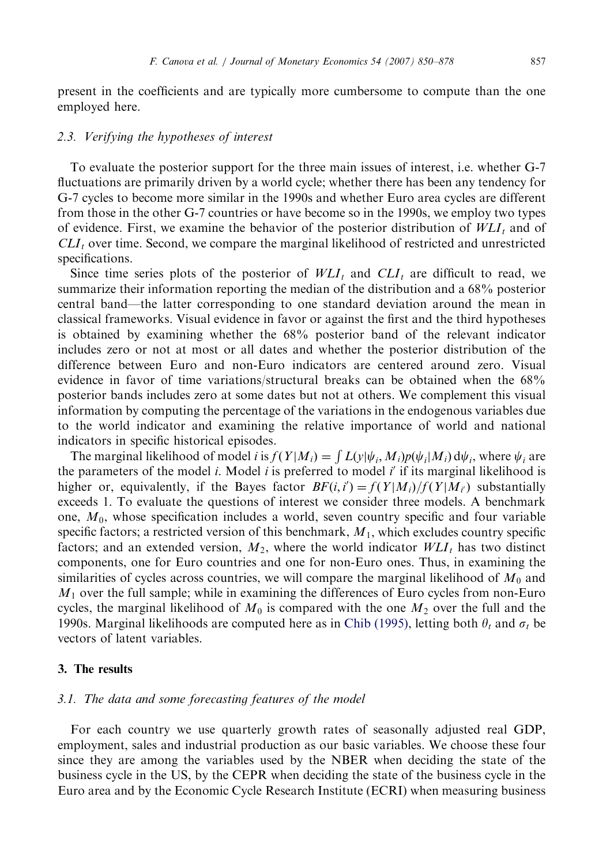present in the coefficients and are typically more cumbersome to compute than the one employed here.

# 2.3. Verifying the hypotheses of interest

To evaluate the posterior support for the three main issues of interest, i.e. whether G-7 fluctuations are primarily driven by a world cycle; whether there has been any tendency for G-7 cycles to become more similar in the 1990s and whether Euro area cycles are different from those in the other G-7 countries or have become so in the 1990s, we employ two types of evidence. First, we examine the behavior of the posterior distribution of  $WLI<sub>t</sub>$  and of  $CLI<sub>t</sub>$  over time. Second, we compare the marginal likelihood of restricted and unrestricted specifications.

Since time series plots of the posterior of  $WLI_t$  and  $CLI_t$  are difficult to read, we summarize their information reporting the median of the distribution and a 68% posterior central band—the latter corresponding to one standard deviation around the mean in classical frameworks. Visual evidence in favor or against the first and the third hypotheses is obtained by examining whether the 68% posterior band of the relevant indicator includes zero or not at most or all dates and whether the posterior distribution of the difference between Euro and non-Euro indicators are centered around zero. Visual evidence in favor of time variations/structural breaks can be obtained when the 68% posterior bands includes zero at some dates but not at others. We complement this visual information by computing the percentage of the variations in the endogenous variables due to the world indicator and examining the relative importance of world and national indicators in specific historical episodes.

The marginal likelihood of model *i* is  $f(Y|M_i) = \int L(y|\psi_i, M_i)p(\psi_i|M_i) d\psi_i$ , where  $\psi_i$  are the parameters of the model  $i$ . Model  $i$  is preferred to model  $i'$  if its marginal likelihood is higher or, equivalently, if the Bayes factor  $BF(i, i') = f(Y|M_i)/f(Y|M_i')$  substantially exceeds 1. To evaluate the questions of interest we consider three models. A benchmark one,  $M<sub>0</sub>$ , whose specification includes a world, seven country specific and four variable specific factors; a restricted version of this benchmark,  $M_1$ , which excludes country specific factors; and an extended version,  $M_2$ , where the world indicator  $WLI<sub>t</sub>$  has two distinct components, one for Euro countries and one for non-Euro ones. Thus, in examining the similarities of cycles across countries, we will compare the marginal likelihood of  $M_0$  and  $M_1$  over the full sample; while in examining the differences of Euro cycles from non-Euro cycles, the marginal likelihood of  $M_0$  is compared with the one  $M_2$  over the full and the 1990s. Marginal likelihoods are computed here as in [Chib \(1995\)](#page-27-0), letting both  $\theta_t$  and  $\sigma_t$  be vectors of latent variables.

# 3. The results

#### 3.1. The data and some forecasting features of the model

For each country we use quarterly growth rates of seasonally adjusted real GDP, employment, sales and industrial production as our basic variables. We choose these four since they are among the variables used by the NBER when deciding the state of the business cycle in the US, by the CEPR when deciding the state of the business cycle in the Euro area and by the Economic Cycle Research Institute (ECRI) when measuring business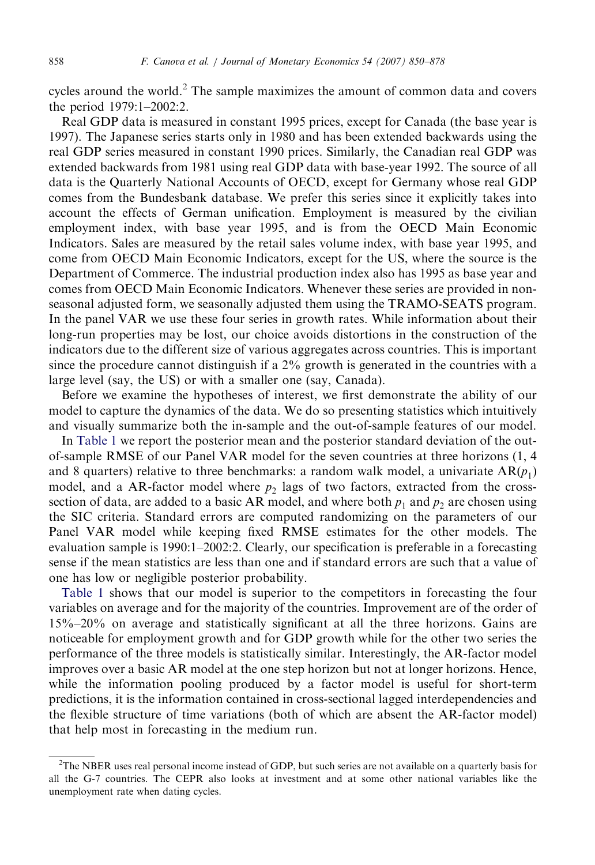cycles around the world. $2$  The sample maximizes the amount of common data and covers the period 1979:1–2002:2.

Real GDP data is measured in constant 1995 prices, except for Canada (the base year is 1997). The Japanese series starts only in 1980 and has been extended backwards using the real GDP series measured in constant 1990 prices. Similarly, the Canadian real GDP was extended backwards from 1981 using real GDP data with base-year 1992. The source of all data is the Quarterly National Accounts of OECD, except for Germany whose real GDP comes from the Bundesbank database. We prefer this series since it explicitly takes into account the effects of German unification. Employment is measured by the civilian employment index, with base year 1995, and is from the OECD Main Economic Indicators. Sales are measured by the retail sales volume index, with base year 1995, and come from OECD Main Economic Indicators, except for the US, where the source is the Department of Commerce. The industrial production index also has 1995 as base year and comes from OECD Main Economic Indicators. Whenever these series are provided in nonseasonal adjusted form, we seasonally adjusted them using the TRAMO-SEATS program. In the panel VAR we use these four series in growth rates. While information about their long-run properties may be lost, our choice avoids distortions in the construction of the indicators due to the different size of various aggregates across countries. This is important since the procedure cannot distinguish if a 2% growth is generated in the countries with a large level (say, the US) or with a smaller one (say, Canada).

Before we examine the hypotheses of interest, we first demonstrate the ability of our model to capture the dynamics of the data. We do so presenting statistics which intuitively and visually summarize both the in-sample and the out-of-sample features of our model.

In [Table 1](#page-9-0) we report the posterior mean and the posterior standard deviation of the outof-sample RMSE of our Panel VAR model for the seven countries at three horizons (1, 4 and 8 quarters) relative to three benchmarks: a random walk model, a univariate  $AR(p_1)$ model, and a AR-factor model where  $p_2$  lags of two factors, extracted from the crosssection of data, are added to a basic AR model, and where both  $p_1$  and  $p_2$  are chosen using the SIC criteria. Standard errors are computed randomizing on the parameters of our Panel VAR model while keeping fixed RMSE estimates for the other models. The evaluation sample is 1990:1–2002:2. Clearly, our specification is preferable in a forecasting sense if the mean statistics are less than one and if standard errors are such that a value of one has low or negligible posterior probability.

[Table 1](#page-9-0) shows that our model is superior to the competitors in forecasting the four variables on average and for the majority of the countries. Improvement are of the order of 15%–20% on average and statistically significant at all the three horizons. Gains are noticeable for employment growth and for GDP growth while for the other two series the performance of the three models is statistically similar. Interestingly, the AR-factor model improves over a basic AR model at the one step horizon but not at longer horizons. Hence, while the information pooling produced by a factor model is useful for short-term predictions, it is the information contained in cross-sectional lagged interdependencies and the flexible structure of time variations (both of which are absent the AR-factor model) that help most in forecasting in the medium run.

<sup>2</sup> The NBER uses real personal income instead of GDP, but such series are not available on a quarterly basis for all the G-7 countries. The CEPR also looks at investment and at some other national variables like the unemployment rate when dating cycles.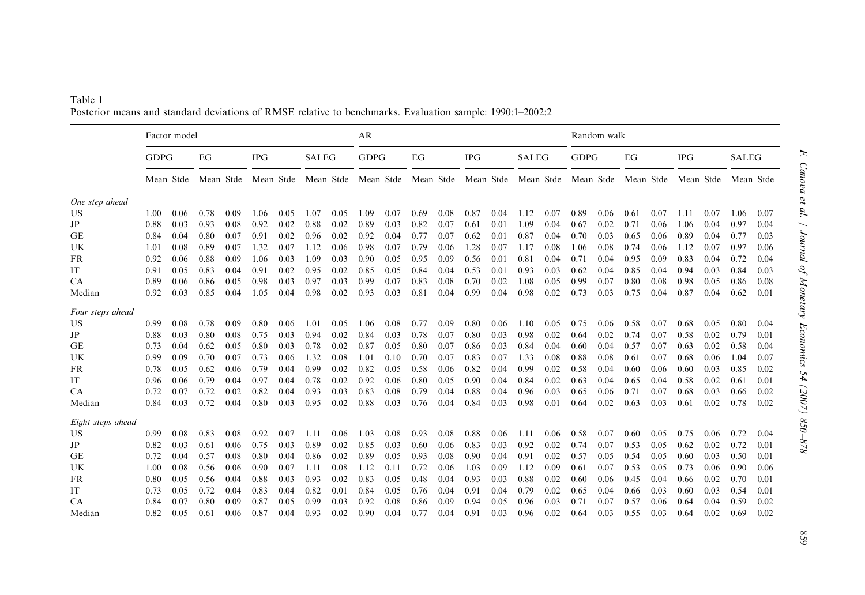# <span id="page-9-0"></span>Table 1Posterior means and standard deviations of RMSE relative to benchmarks. Evaluation sample: 1990:1–2002:2

|                   | Factor model |           |      |           |            |           |              | AR        |             |      |      |      | Random walk         |      |              |           |             |           |      |           |            |           |              |           |
|-------------------|--------------|-----------|------|-----------|------------|-----------|--------------|-----------|-------------|------|------|------|---------------------|------|--------------|-----------|-------------|-----------|------|-----------|------------|-----------|--------------|-----------|
|                   | <b>GDPG</b>  |           | EG   |           | <b>IPG</b> |           | <b>SALEG</b> |           | <b>GDPG</b> |      | EG   |      | <b>IPG</b>          |      | <b>SALEG</b> |           | <b>GDPG</b> |           | EG   |           | <b>IPG</b> |           | <b>SALEG</b> |           |
|                   |              | Mean Stde |      | Mean Stde |            | Mean Stde |              | Mean Stde | Mean Stde   |      |      |      | Mean Stde Mean Stde |      |              | Mean Stde |             | Mean Stde |      | Mean Stde |            | Mean Stde |              | Mean Stde |
| One step ahead    |              |           |      |           |            |           |              |           |             |      |      |      |                     |      |              |           |             |           |      |           |            |           |              |           |
| US                | 1.00         | 0.06      | 0.78 | 0.09      | 1.06       | 0.05      | 1.07         | 0.05      | 1.09        | 0.07 | 0.69 | 0.08 | 0.87                | 0.04 | 1.12         | 0.07      | 0.89        | 0.06      | 0.61 | 0.07      | 1.11       | 0.07      | 1.06         | 0.07      |
| JP                | 0.88         | 0.03      | 0.93 | 0.08      | 0.92       | 0.02      | 0.88         | 0.02      | 0.89        | 0.03 | 0.82 | 0.07 | 0.61                | 0.01 | 1.09         | 0.04      | 0.67        | 0.02      | 0.71 | 0.06      | 1.06       | 0.04      | 0.97         | 0.04      |
| <b>GE</b>         | 0.84         | 0.04      | 0.80 | 0.07      | 0.91       | 0.02      | 0.96         | 0.02      | 0.92        | 0.04 | 0.77 | 0.07 | 0.62                | 0.01 | 0.87         | 0.04      | 0.70        | 0.03      | 0.65 | 0.06      | 0.89       | 0.04      | 0.77         | 0.03      |
| UK                | 1.01         | 0.08      | 0.89 | 0.07      | 1.32       | 0.07      | 1.12         | 0.06      | 0.98        | 0.07 | 0.79 | 0.06 | 1.28                | 0.07 | 1.17         | 0.08      | 1.06        | 0.08      | 0.74 | 0.06      | 1.12       | 0.07      | 0.97         | 0.06      |
| <b>FR</b>         | 0.92         | 0.06      | 0.88 | 0.09      | 1.06       | 0.03      | 1.09         | 0.03      | 0.90        | 0.05 | 0.95 | 0.09 | 0.56                | 0.01 | 0.81         | 0.04      | 0.71        | 0.04      | 0.95 | 0.09      | 0.83       | 0.04      | 0.72         | 0.04      |
| IT                | 0.91         | 0.05      | 0.83 | 0.04      | 0.91       | 0.02      | 0.95         | 0.02      | 0.85        | 0.05 | 0.84 | 0.04 | 0.53                | 0.01 | 0.93         | 0.03      | 0.62        | 0.04      | 0.85 | 0.04      | 0.94       | 0.03      | 0.84         | 0.03      |
| <b>CA</b>         | 0.89         | 0.06      | 0.86 | 0.05      | 0.98       | 0.03      | 0.97         | 0.03      | 0.99        | 0.07 | 0.83 | 0.08 | 0.70                | 0.02 | 1.08         | 0.05      | 0.99        | 0.07      | 0.80 | 0.08      | 0.98       | 0.05      | 0.86         | 0.08      |
| Median            | 0.92         | 0.03      | 0.85 | 0.04      | 1.05       | 0.04      | 0.98         | 0.02      | 0.93        | 0.03 | 0.81 | 0.04 | 0.99                | 0.04 | 0.98         | 0.02      | 0.73        | 0.03      | 0.75 | 0.04      | 0.87       | 0.04      | 0.62         | 0.01      |
| Four steps ahead  |              |           |      |           |            |           |              |           |             |      |      |      |                     |      |              |           |             |           |      |           |            |           |              |           |
| US                | 0.99         | 0.08      | 0.78 | 0.09      | 0.80       | 0.06      | 1.01         | 0.05      | 1.06        | 0.08 | 0.77 | 0.09 | 0.80                | 0.06 | 1.10         | 0.05      | 0.75        | 0.06      | 0.58 | 0.07      | 0.68       | 0.05      | 0.80         | 0.04      |
| JP                | 0.88         | 0.03      | 0.80 | 0.08      | 0.75       | 0.03      | 0.94         | 0.02      | 0.84        | 0.03 | 0.78 | 0.07 | 0.80                | 0.03 | 0.98         | 0.02      | 0.64        | 0.02      | 0.74 | 0.07      | 0.58       | 0.02      | 0.79         | 0.01      |
| GE                | 0.73         | 0.04      | 0.62 | 0.05      | 0.80       | 0.03      | 0.78         | 0.02      | 0.87        | 0.05 | 0.80 | 0.07 | 0.86                | 0.03 | 0.84         | 0.04      | 0.60        | 0.04      | 0.57 | 0.07      | 0.63       | 0.02      | 0.58         | 0.04      |
| UK                | 0.99         | 0.09      | 0.70 | 0.07      | 0.73       | 0.06      | 1.32         | 0.08      | 1.01        | 0.10 | 0.70 | 0.07 | 0.83                | 0.07 | 1.33         | 0.08      | 0.88        | 0.08      | 0.61 | 0.07      | 0.68       | 0.06      | 1.04         | 0.07      |
| <b>FR</b>         | 0.78         | 0.05      | 0.62 | 0.06      | 0.79       | 0.04      | 0.99         | 0.02      | 0.82        | 0.05 | 0.58 | 0.06 | 0.82                | 0.04 | 0.99         | 0.02      | 0.58        | 0.04      | 0.60 | 0.06      | 0.60       | 0.03      | 0.85         | 0.02      |
| IT                | 0.96         | 0.06      | 0.79 | 0.04      | 0.97       | 0.04      | 0.78         | 0.02      | 0.92        | 0.06 | 0.80 | 0.05 | 0.90                | 0.04 | 0.84         | 0.02      | 0.63        | 0.04      | 0.65 | 0.04      | 0.58       | 0.02      | 0.61         | 0.01      |
| <b>CA</b>         | 0.72         | 0.07      | 0.72 | 0.02      | 0.82       | 0.04      | 0.93         | 0.03      | 0.83        | 0.08 | 0.79 | 0.04 | 0.88                | 0.04 | 0.96         | 0.03      | 0.65        | 0.06      | 0.71 | 0.07      | 0.68       | 0.03      | 0.66         | 0.02      |
| Median            | 0.84         | 0.03      | 0.72 | 0.04      | 0.80       | 0.03      | 0.95         | 0.02      | 0.88        | 0.03 | 0.76 | 0.04 | 0.84                | 0.03 | 0.98         | 0.01      | 0.64        | 0.02      | 0.63 | 0.03      | 0.61       | 0.02      | 0.78         | 0.02      |
| Eight steps ahead |              |           |      |           |            |           |              |           |             |      |      |      |                     |      |              |           |             |           |      |           |            |           |              |           |
| US                | 0.99         | 0.08      | 0.83 | 0.08      | 0.92       | 0.07      | 1.11         | 0.06      | 1.03        | 0.08 | 0.93 | 0.08 | 0.88                | 0.06 | 1.11         | 0.06      | 0.58        | 0.07      | 0.60 | 0.05      | 0.75       | 0.06      | 0.72         | 0.04      |
| JP                | 0.82         | 0.03      | 0.61 | 0.06      | 0.75       | 0.03      | 0.89         | 0.02      | 0.85        | 0.03 | 0.60 | 0.06 | 0.83                | 0.03 | 0.92         | 0.02      | 0.74        | 0.07      | 0.53 | 0.05      | 0.62       | 0.02      | 0.72         | 0.01      |
| <b>GE</b>         | 0.72         | 0.04      | 0.57 | 0.08      | 0.80       | 0.04      | 0.86         | 0.02      | 0.89        | 0.05 | 0.93 | 0.08 | 0.90                | 0.04 | 0.91         | 0.02      | 0.57        | 0.05      | 0.54 | 0.05      | 0.60       | 0.03      | 0.50         | 0.01      |
| UK                | 1.00         | 0.08      | 0.56 | 0.06      | 0.90       | 0.07      | 1.11         | 0.08      | 1.12        | 0.11 | 0.72 | 0.06 | 1.03                | 0.09 | 1.12         | 0.09      | 0.61        | 0.07      | 0.53 | 0.05      | 0.73       | 0.06      | 0.90         | 0.06      |
| <b>FR</b>         | 0.80         | 0.05      | 0.56 | 0.04      | 0.88       | 0.03      | 0.93         | 0.02      | 0.83        | 0.05 | 0.48 | 0.04 | 0.93                | 0.03 | 0.88         | 0.02      | 0.60        | 0.06      | 0.45 | 0.04      | 0.66       | 0.02      | 0.70         | 0.01      |
| IT                | 0.73         | 0.05      | 0.72 | 0.04      | 0.83       | 0.04      | 0.82         | 0.01      | 0.84        | 0.05 | 0.76 | 0.04 | 0.91                | 0.04 | 0.79         | 0.02      | 0.65        | 0.04      | 0.66 | 0.03      | 0.60       | 0.03      | 0.54         | 0.01      |
| CA                | 0.84         | 0.07      | 0.80 | 0.09      | 0.87       | 0.05      | 0.99         | 0.03      | 0.92        | 0.08 | 0.86 | 0.09 | 0.94                | 0.05 | 0.96         | 0.03      | 0.71        | 0.07      | 0.57 | 0.06      | 0.64       | 0.04      | 0.59         | 0.02      |
| Median            | 0.82         | 0.05      | 0.61 | 0.06      | 0.87       | 0.04      | 0.93         | 0.02      | 0.90        | 0.04 | 0.77 | 0.04 | 0.91                | 0.03 | 0.96         | 0.02      | 0.64        | 0.03      | 0.55 | 0.03      | 0.64       | 0.02      | 0.69         | 0.02      |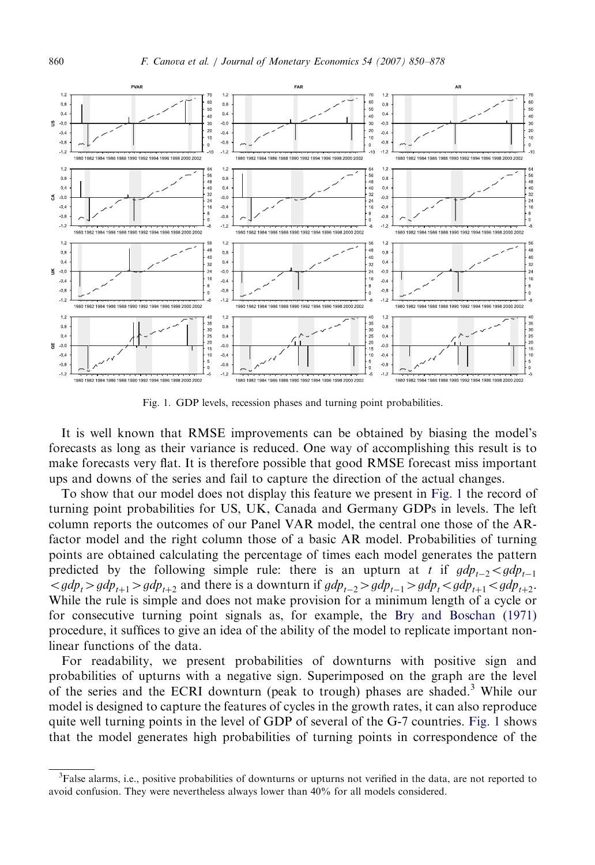

Fig. 1. GDP levels, recession phases and turning point probabilities.

It is well known that RMSE improvements can be obtained by biasing the model's forecasts as long as their variance is reduced. One way of accomplishing this result is to make forecasts very flat. It is therefore possible that good RMSE forecast miss important ups and downs of the series and fail to capture the direction of the actual changes.

To show that our model does not display this feature we present in Fig. 1 the record of turning point probabilities for US, UK, Canada and Germany GDPs in levels. The left column reports the outcomes of our Panel VAR model, the central one those of the ARfactor model and the right column those of a basic AR model. Probabilities of turning points are obtained calculating the percentage of times each model generates the pattern predicted by the following simple rule: there is an upturn at t if  $gdp_{t-2} < gdp_{t-1}$  $\langle \phi \rangle \langle \phi \rangle = \langle \phi \rangle = g d p_{t+1} \rangle = g d p_{t+2}$  and there is a downturn if  $g d p_{t-2} \rangle = g d p_{t-1} \rangle = g d p_t \langle \phi \rangle = g d p_{t+1} \langle \phi \rangle = g d p_{t+2}$ . While the rule is simple and does not make provision for a minimum length of a cycle or for consecutive turning point signals as, for example, the [Bry and Boschan \(1971\)](#page-27-0) procedure, it suffices to give an idea of the ability of the model to replicate important nonlinear functions of the data.

For readability, we present probabilities of downturns with positive sign and probabilities of upturns with a negative sign. Superimposed on the graph are the level of the series and the ECRI downturn (peak to trough) phases are shaded.<sup>3</sup> While our model is designed to capture the features of cycles in the growth rates, it can also reproduce quite well turning points in the level of GDP of several of the G-7 countries. Fig. 1 shows that the model generates high probabilities of turning points in correspondence of the

<sup>&</sup>lt;sup>3</sup>False alarms, i.e., positive probabilities of downturns or upturns not verified in the data, are not reported to avoid confusion. They were nevertheless always lower than 40% for all models considered.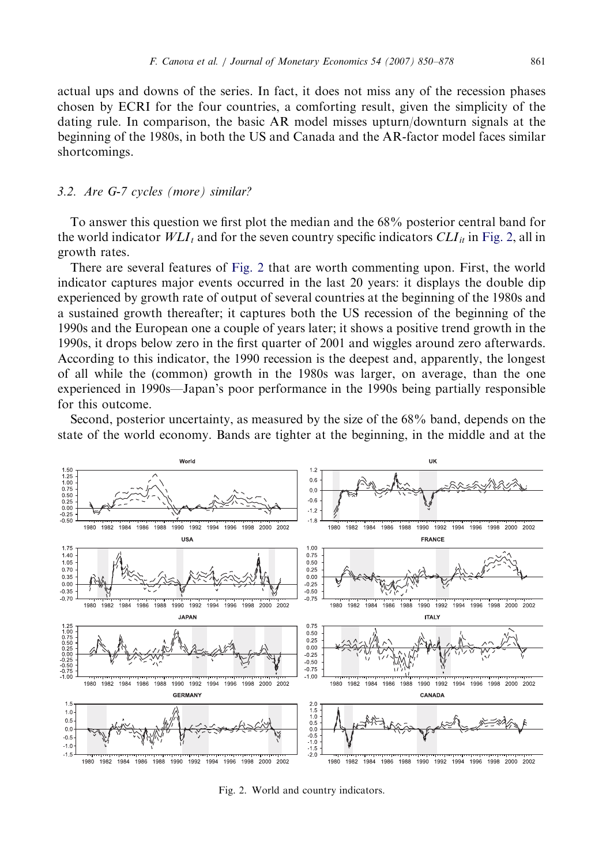<span id="page-11-0"></span>actual ups and downs of the series. In fact, it does not miss any of the recession phases chosen by ECRI for the four countries, a comforting result, given the simplicity of the dating rule. In comparison, the basic AR model misses upturn/downturn signals at the beginning of the 1980s, in both the US and Canada and the AR-factor model faces similar shortcomings.

# 3.2. Are G-7 cycles (more) similar?

To answer this question we first plot the median and the 68% posterior central band for the world indicator  $WLI<sub>t</sub>$  and for the seven country specific indicators  $CLI<sub>it</sub>$  in Fig. 2, all in growth rates.

There are several features of Fig. 2 that are worth commenting upon. First, the world indicator captures major events occurred in the last 20 years: it displays the double dip experienced by growth rate of output of several countries at the beginning of the 1980s and a sustained growth thereafter; it captures both the US recession of the beginning of the 1990s and the European one a couple of years later; it shows a positive trend growth in the 1990s, it drops below zero in the first quarter of 2001 and wiggles around zero afterwards. According to this indicator, the 1990 recession is the deepest and, apparently, the longest of all while the (common) growth in the 1980s was larger, on average, than the one experienced in 1990s—Japan's poor performance in the 1990s being partially responsible for this outcome.

Second, posterior uncertainty, as measured by the size of the 68% band, depends on the state of the world economy. Bands are tighter at the beginning, in the middle and at the



Fig. 2. World and country indicators.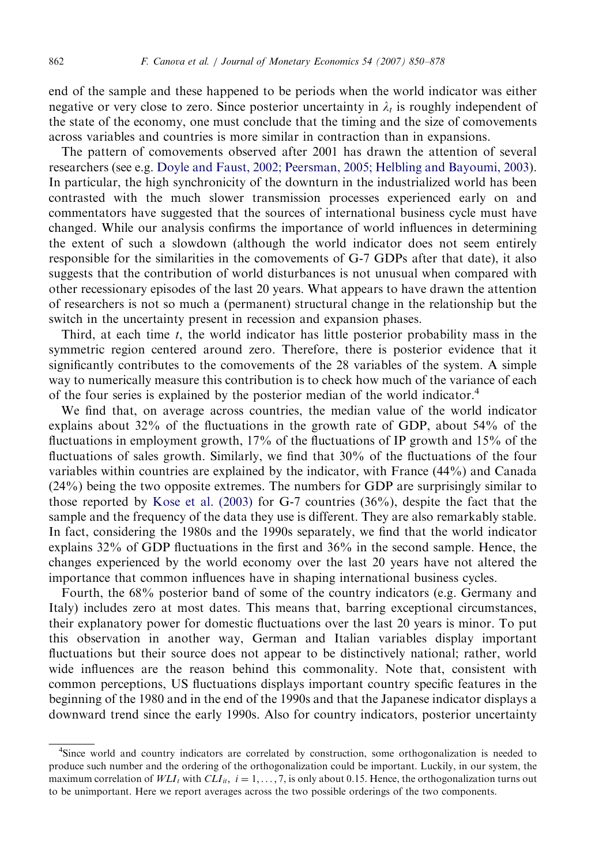end of the sample and these happened to be periods when the world indicator was either negative or very close to zero. Since posterior uncertainty in  $\lambda_t$  is roughly independent of the state of the economy, one must conclude that the timing and the size of comovements across variables and countries is more similar in contraction than in expansions.

The pattern of comovements observed after 2001 has drawn the attention of several researchers (see e.g. [Doyle and Faust, 2002; Peersman, 2005; Helbling and Bayoumi, 2003](#page-28-0)). In particular, the high synchronicity of the downturn in the industrialized world has been contrasted with the much slower transmission processes experienced early on and commentators have suggested that the sources of international business cycle must have changed. While our analysis confirms the importance of world influences in determining the extent of such a slowdown (although the world indicator does not seem entirely responsible for the similarities in the comovements of G-7 GDPs after that date), it also suggests that the contribution of world disturbances is not unusual when compared with other recessionary episodes of the last 20 years. What appears to have drawn the attention of researchers is not so much a (permanent) structural change in the relationship but the switch in the uncertainty present in recession and expansion phases.

Third, at each time  $t$ , the world indicator has little posterior probability mass in the symmetric region centered around zero. Therefore, there is posterior evidence that it significantly contributes to the comovements of the 28 variables of the system. A simple way to numerically measure this contribution is to check how much of the variance of each of the four series is explained by the posterior median of the world indicator.<sup>4</sup>

We find that, on average across countries, the median value of the world indicator explains about 32% of the fluctuations in the growth rate of GDP, about 54% of the fluctuations in employment growth, 17% of the fluctuations of IP growth and 15% of the fluctuations of sales growth. Similarly, we find that 30% of the fluctuations of the four variables within countries are explained by the indicator, with France (44%) and Canada  $(24%)$  being the two opposite extremes. The numbers for GDP are surprisingly similar to those reported by [Kose et al. \(2003\)](#page-28-0) for G-7 countries (36%), despite the fact that the sample and the frequency of the data they use is different. They are also remarkably stable. In fact, considering the 1980s and the 1990s separately, we find that the world indicator explains 32% of GDP fluctuations in the first and 36% in the second sample. Hence, the changes experienced by the world economy over the last 20 years have not altered the importance that common influences have in shaping international business cycles.

Fourth, the 68% posterior band of some of the country indicators (e.g. Germany and Italy) includes zero at most dates. This means that, barring exceptional circumstances, their explanatory power for domestic fluctuations over the last 20 years is minor. To put this observation in another way, German and Italian variables display important fluctuations but their source does not appear to be distinctively national; rather, world wide influences are the reason behind this commonality. Note that, consistent with common perceptions, US fluctuations displays important country specific features in the beginning of the 1980 and in the end of the 1990s and that the Japanese indicator displays a downward trend since the early 1990s. Also for country indicators, posterior uncertainty

<sup>4</sup> Since world and country indicators are correlated by construction, some orthogonalization is needed to produce such number and the ordering of the orthogonalization could be important. Luckily, in our system, the maximum correlation of  $WLI_t$  with  $CLI_{ii}$ ,  $i = 1, \ldots, 7$ , is only about 0.15. Hence, the orthogonalization turns out to be unimportant. Here we report averages across the two possible orderings of the two components.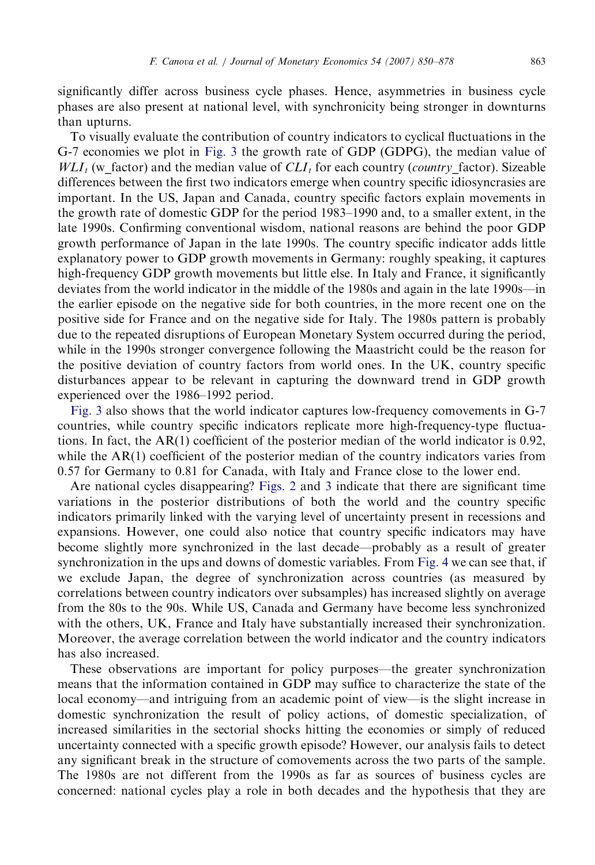significantly differ across business cycle phases. Hence, asymmetries in business cycle phases are also present at national level, with synchronicity being stronger in downturns than upturns.

To visually evaluate the contribution of country indicators to cyclical fluctuations in the G-7 economies we plot in [Fig. 3](#page-14-0) the growth rate of GDP (GDPG), the median value of  $WLI<sub>t</sub>$  (w\_factor) and the median value of CLI, for each country (country factor). Sizeable differences between the first two indicators emerge when country specific idiosyncrasies are important. In the US, Japan and Canada, country specific factors explain movements in the growth rate of domestic GDP for the period 1983–1990 and, to a smaller extent, in the late 1990s. Confirming conventional wisdom, national reasons are behind the poor GDP growth performance of Japan in the late 1990s. The country specific indicator adds little explanatory power to GDP growth movements in Germany: roughly speaking, it captures high-frequency GDP growth movements but little else. In Italy and France, it significantly deviates from the world indicator in the middle of the 1980s and again in the late 1990s—in the earlier episode on the negative side for both countries, in the more recent one on the positive side for France and on the negative side for Italy. The 1980s pattern is probably due to the repeated disruptions of European Monetary System occurred during the period, while in the 1990s stronger convergence following the Maastricht could be the reason for the positive deviation of country factors from world ones. In the UK, country specific disturbances appear to be relevant in capturing the downward trend in GDP growth experienced over the 1986–1992 period.

[Fig. 3](#page-14-0) also shows that the world indicator captures low-frequency comovements in G-7 countries, while country specific indicators replicate more high-frequency-type fluctuations. In fact, the  $AR(1)$  coefficient of the posterior median of the world indicator is 0.92, while the AR(1) coefficient of the posterior median of the country indicators varies from 0.57 for Germany to 0.81 for Canada, with Italy and France close to the lower end.

Are national cycles disappearing? [Figs. 2](#page-11-0) and [3](#page-14-0) indicate that there are significant time variations in the posterior distributions of both the world and the country specific indicators primarily linked with the varying level of uncertainty present in recessions and expansions. However, one could also notice that country specific indicators may have become slightly more synchronized in the last decade—probably as a result of greater synchronization in the ups and downs of domestic variables. From [Fig. 4](#page-15-0) we can see that, if we exclude Japan, the degree of synchronization across countries (as measured by correlations between country indicators over subsamples) has increased slightly on average from the 80s to the 90s. While US, Canada and Germany have become less synchronized with the others, UK, France and Italy have substantially increased their synchronization. Moreover, the average correlation between the world indicator and the country indicators has also increased.

These observations are important for policy purposes—the greater synchronization means that the information contained in GDP may suffice to characterize the state of the local economy—and intriguing from an academic point of view—is the slight increase in domestic synchronization the result of policy actions, of domestic specialization, of increased similarities in the sectorial shocks hitting the economies or simply of reduced uncertainty connected with a specific growth episode? However, our analysis fails to detect any significant break in the structure of comovements across the two parts of the sample. The 1980s are not different from the 1990s as far as sources of business cycles are concerned: national cycles play a role in both decades and the hypothesis that they are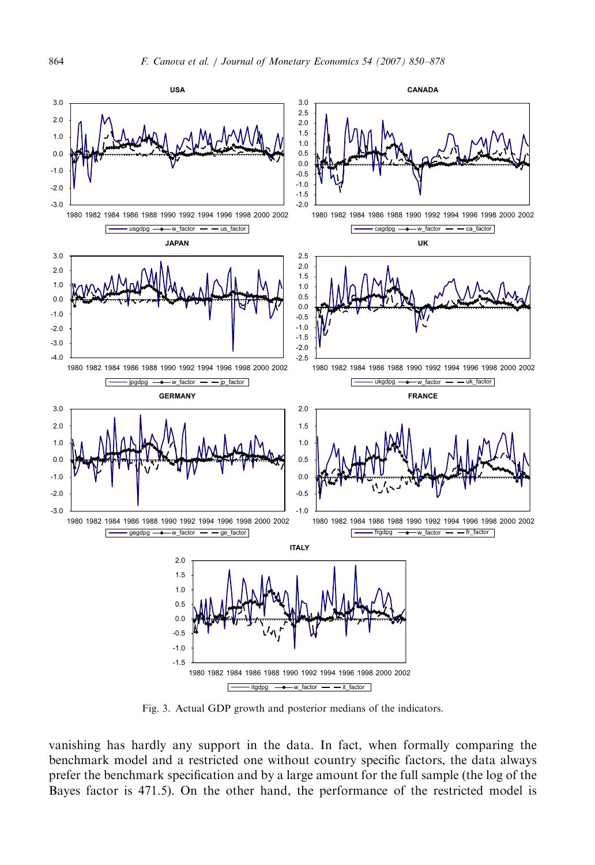<span id="page-14-0"></span>

Fig. 3. Actual GDP growth and posterior medians of the indicators.

vanishing has hardly any support in the data. In fact, when formally comparing the benchmark model and a restricted one without country specific factors, the data always prefer the benchmark specification and by a large amount for the full sample (the log of the Bayes factor is 471.5). On the other hand, the performance of the restricted model is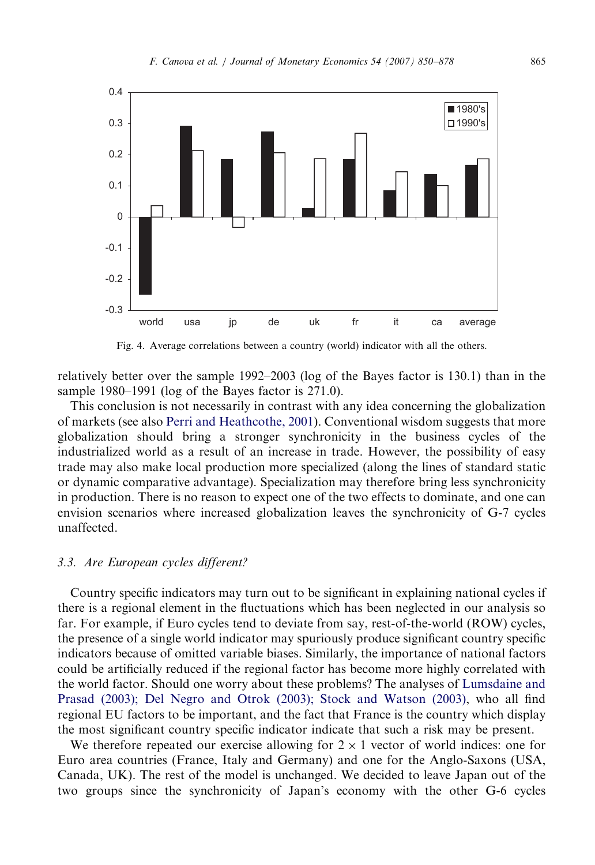<span id="page-15-0"></span>

Fig. 4. Average correlations between a country (world) indicator with all the others.

relatively better over the sample 1992–2003 (log of the Bayes factor is 130.1) than in the sample 1980–1991 (log of the Bayes factor is 271.0).

This conclusion is not necessarily in contrast with any idea concerning the globalization of markets (see also [Perri and Heathcothe, 2001\)](#page-28-0). Conventional wisdom suggests that more globalization should bring a stronger synchronicity in the business cycles of the industrialized world as a result of an increase in trade. However, the possibility of easy trade may also make local production more specialized (along the lines of standard static or dynamic comparative advantage). Specialization may therefore bring less synchronicity in production. There is no reason to expect one of the two effects to dominate, and one can envision scenarios where increased globalization leaves the synchronicity of G-7 cycles unaffected.

# 3.3. Are European cycles different?

Country specific indicators may turn out to be significant in explaining national cycles if there is a regional element in the fluctuations which has been neglected in our analysis so far. For example, if Euro cycles tend to deviate from say, rest-of-the-world (ROW) cycles, the presence of a single world indicator may spuriously produce significant country specific indicators because of omitted variable biases. Similarly, the importance of national factors could be artificially reduced if the regional factor has become more highly correlated with the world factor. Should one worry about these problems? The analyses of [Lumsdaine and](#page-28-0) [Prasad \(2003\); Del Negro and Otrok \(2003\); Stock and Watson \(2003\),](#page-28-0) who all find regional EU factors to be important, and the fact that France is the country which display the most significant country specific indicator indicate that such a risk may be present.

We therefore repeated our exercise allowing for  $2 \times 1$  vector of world indices: one for Euro area countries (France, Italy and Germany) and one for the Anglo-Saxons (USA, Canada, UK). The rest of the model is unchanged. We decided to leave Japan out of the two groups since the synchronicity of Japan's economy with the other G-6 cycles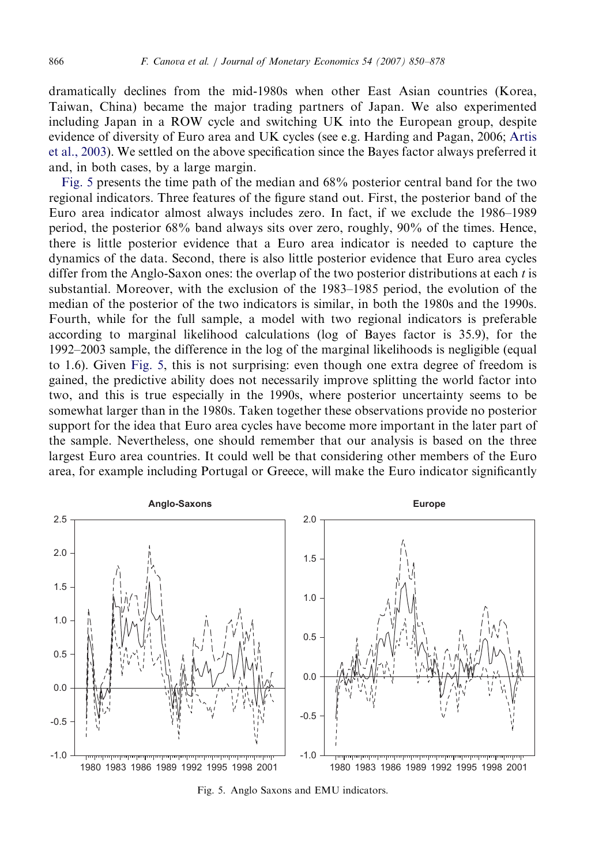dramatically declines from the mid-1980s when other East Asian countries (Korea, Taiwan, China) became the major trading partners of Japan. We also experimented including Japan in a ROW cycle and switching UK into the European group, despite evidence of diversity of Euro area and UK cycles (see e.g. Harding and Pagan, 2006; [Artis](#page-27-0) [et al., 2003\)](#page-27-0). We settled on the above specification since the Bayes factor always preferred it and, in both cases, by a large margin.

Fig. 5 presents the time path of the median and 68% posterior central band for the two regional indicators. Three features of the figure stand out. First, the posterior band of the Euro area indicator almost always includes zero. In fact, if we exclude the 1986–1989 period, the posterior 68% band always sits over zero, roughly, 90% of the times. Hence, there is little posterior evidence that a Euro area indicator is needed to capture the dynamics of the data. Second, there is also little posterior evidence that Euro area cycles differ from the Anglo-Saxon ones: the overlap of the two posterior distributions at each t is substantial. Moreover, with the exclusion of the 1983–1985 period, the evolution of the median of the posterior of the two indicators is similar, in both the 1980s and the 1990s. Fourth, while for the full sample, a model with two regional indicators is preferable according to marginal likelihood calculations (log of Bayes factor is 35.9), for the 1992–2003 sample, the difference in the log of the marginal likelihoods is negligible (equal to 1.6). Given Fig. 5, this is not surprising: even though one extra degree of freedom is gained, the predictive ability does not necessarily improve splitting the world factor into two, and this is true especially in the 1990s, where posterior uncertainty seems to be somewhat larger than in the 1980s. Taken together these observations provide no posterior support for the idea that Euro area cycles have become more important in the later part of the sample. Nevertheless, one should remember that our analysis is based on the three largest Euro area countries. It could well be that considering other members of the Euro area, for example including Portugal or Greece, will make the Euro indicator significantly



Fig. 5. Anglo Saxons and EMU indicators.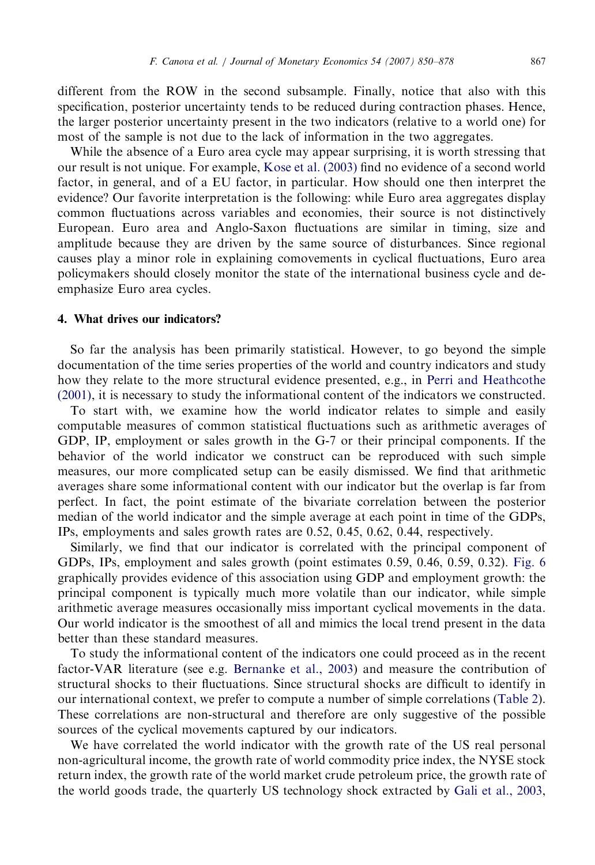different from the ROW in the second subsample. Finally, notice that also with this specification, posterior uncertainty tends to be reduced during contraction phases. Hence, the larger posterior uncertainty present in the two indicators (relative to a world one) for most of the sample is not due to the lack of information in the two aggregates.

While the absence of a Euro area cycle may appear surprising, it is worth stressing that our result is not unique. For example, [Kose et al. \(2003\)](#page-28-0) find no evidence of a second world factor, in general, and of a EU factor, in particular. How should one then interpret the evidence? Our favorite interpretation is the following: while Euro area aggregates display common fluctuations across variables and economies, their source is not distinctively European. Euro area and Anglo-Saxon fluctuations are similar in timing, size and amplitude because they are driven by the same source of disturbances. Since regional causes play a minor role in explaining comovements in cyclical fluctuations, Euro area policymakers should closely monitor the state of the international business cycle and deemphasize Euro area cycles.

# 4. What drives our indicators?

So far the analysis has been primarily statistical. However, to go beyond the simple documentation of the time series properties of the world and country indicators and study how they relate to the more structural evidence presented, e.g., in [Perri and Heathcothe](#page-28-0) [\(2001\)](#page-28-0), it is necessary to study the informational content of the indicators we constructed.

To start with, we examine how the world indicator relates to simple and easily computable measures of common statistical fluctuations such as arithmetic averages of GDP, IP, employment or sales growth in the G-7 or their principal components. If the behavior of the world indicator we construct can be reproduced with such simple measures, our more complicated setup can be easily dismissed. We find that arithmetic averages share some informational content with our indicator but the overlap is far from perfect. In fact, the point estimate of the bivariate correlation between the posterior median of the world indicator and the simple average at each point in time of the GDPs, IPs, employments and sales growth rates are 0.52, 0.45, 0.62, 0.44, respectively.

Similarly, we find that our indicator is correlated with the principal component of GDPs, IPs, employment and sales growth (point estimates 0.59, 0.46, 0.59, 0.32). [Fig. 6](#page-18-0) graphically provides evidence of this association using GDP and employment growth: the principal component is typically much more volatile than our indicator, while simple arithmetic average measures occasionally miss important cyclical movements in the data. Our world indicator is the smoothest of all and mimics the local trend present in the data better than these standard measures.

To study the informational content of the indicators one could proceed as in the recent factor-VAR literature (see e.g. [Bernanke et al., 2003\)](#page-27-0) and measure the contribution of structural shocks to their fluctuations. Since structural shocks are difficult to identify in our international context, we prefer to compute a number of simple correlations [\(Table 2](#page-19-0)). These correlations are non-structural and therefore are only suggestive of the possible sources of the cyclical movements captured by our indicators.

We have correlated the world indicator with the growth rate of the US real personal non-agricultural income, the growth rate of world commodity price index, the NYSE stock return index, the growth rate of the world market crude petroleum price, the growth rate of the world goods trade, the quarterly US technology shock extracted by [Gali et al., 2003,](#page-28-0)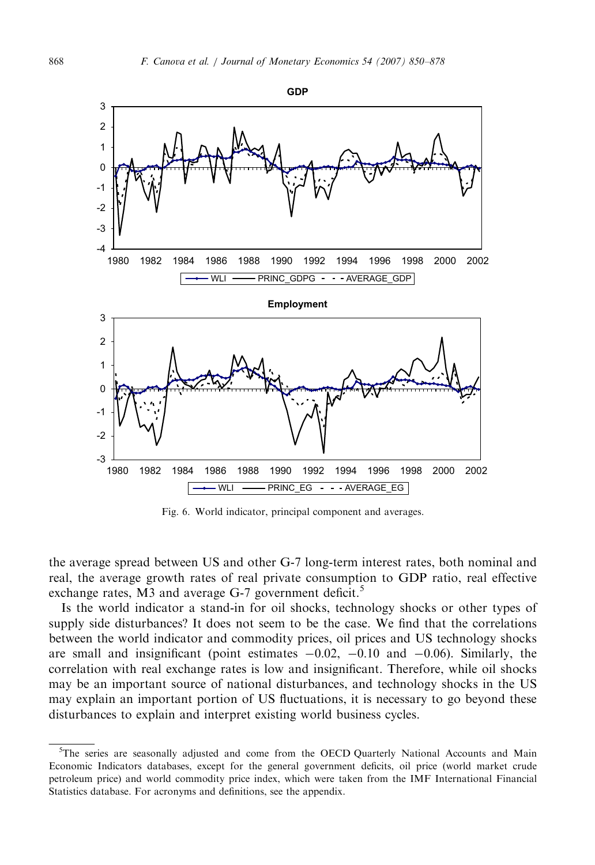<span id="page-18-0"></span>

Fig. 6. World indicator, principal component and averages.

the average spread between US and other G-7 long-term interest rates, both nominal and real, the average growth rates of real private consumption to GDP ratio, real effective exchange rates, M3 and average G-7 government deficit.<sup>5</sup>

Is the world indicator a stand-in for oil shocks, technology shocks or other types of supply side disturbances? It does not seem to be the case. We find that the correlations between the world indicator and commodity prices, oil prices and US technology shocks are small and insignificant (point estimates  $-0.02$ ,  $-0.10$  and  $-0.06$ ). Similarly, the correlation with real exchange rates is low and insignificant. Therefore, while oil shocks may be an important source of national disturbances, and technology shocks in the US may explain an important portion of US fluctuations, it is necessary to go beyond these disturbances to explain and interpret existing world business cycles.

<sup>&</sup>lt;sup>5</sup>The series are seasonally adjusted and come from the OECD Quarterly National Accounts and Main Economic Indicators databases, except for the general government deficits, oil price (world market crude petroleum price) and world commodity price index, which were taken from the IMF International Financial Statistics database. For acronyms and definitions, see the appendix.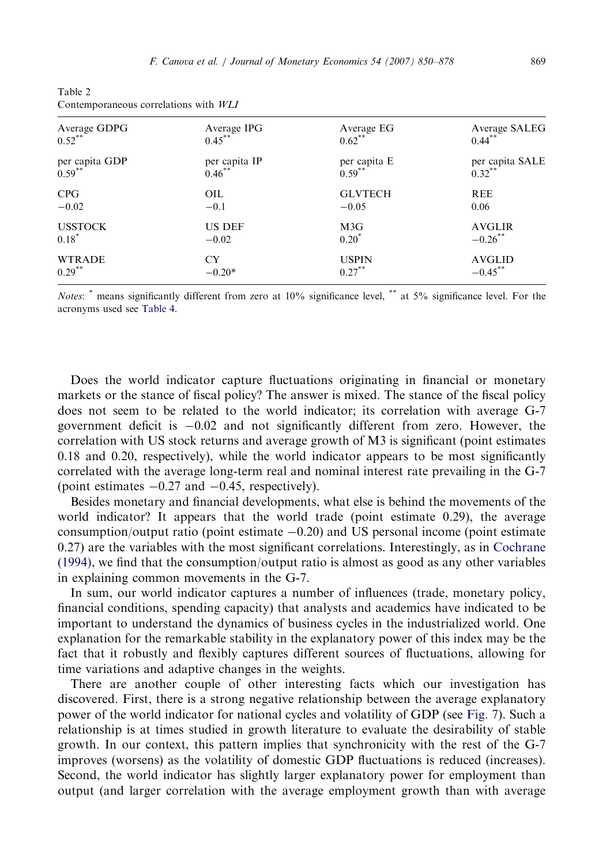| Average GDPG   | Average IPG   | Average EG     | Average SALEG   |
|----------------|---------------|----------------|-----------------|
| $0.52$ **      | $0.45***$     | $0.62$ **      | $0.44***$       |
| per capita GDP | per capita IP | per capita E   | per capita SALE |
| $0.59$ **      | $0.46***$     | $0.59***$      | $0.32***$       |
| CPG            | OIL           | <b>GLVTECH</b> | <b>REE</b>      |
| $-0.02$        | $-0.1$        | $-0.05$        | 0.06            |
| <b>USSTOCK</b> | <b>US DEF</b> | M3G            | <b>AVGLIR</b>   |
| $0.18^*$       | $-0.02$       | $0.20^*$       | $-0.26$ **      |
| <b>WTRADE</b>  | <b>CY</b>     | <b>USPIN</b>   | <b>AVGLID</b>   |
| $0.29***$      | $-0.20*$      | $0.27***$      | $-0.45$ **      |

<span id="page-19-0"></span>Table 2 Contemporaneous correlations with WLI

Notes: \* means significantly different from zero at 10% significance level, \*\* at 5% significance level. For the acronyms used see [Table 4](#page-26-0).

Does the world indicator capture fluctuations originating in financial or monetary markets or the stance of fiscal policy? The answer is mixed. The stance of the fiscal policy does not seem to be related to the world indicator; its correlation with average G-7 government deficit is  $-0.02$  and not significantly different from zero. However, the correlation with US stock returns and average growth of M3 is significant (point estimates 0.18 and 0.20, respectively), while the world indicator appears to be most significantly correlated with the average long-term real and nominal interest rate prevailing in the G-7 (point estimates  $-0.27$  and  $-0.45$ , respectively).

Besides monetary and financial developments, what else is behind the movements of the world indicator? It appears that the world trade (point estimate 0.29), the average  $\alpha$  consumption/output ratio (point estimate  $-0.20$ ) and US personal income (point estimate 0.27) are the variables with the most significant correlations. Interestingly, as in [Cochrane](#page-28-0) [\(1994\)](#page-28-0), we find that the consumption/output ratio is almost as good as any other variables in explaining common movements in the G-7.

In sum, our world indicator captures a number of influences (trade, monetary policy, financial conditions, spending capacity) that analysts and academics have indicated to be important to understand the dynamics of business cycles in the industrialized world. One explanation for the remarkable stability in the explanatory power of this index may be the fact that it robustly and flexibly captures different sources of fluctuations, allowing for time variations and adaptive changes in the weights.

There are another couple of other interesting facts which our investigation has discovered. First, there is a strong negative relationship between the average explanatory power of the world indicator for national cycles and volatility of GDP (see [Fig. 7\)](#page-20-0). Such a relationship is at times studied in growth literature to evaluate the desirability of stable growth. In our context, this pattern implies that synchronicity with the rest of the G-7 improves (worsens) as the volatility of domestic GDP fluctuations is reduced (increases). Second, the world indicator has slightly larger explanatory power for employment than output (and larger correlation with the average employment growth than with average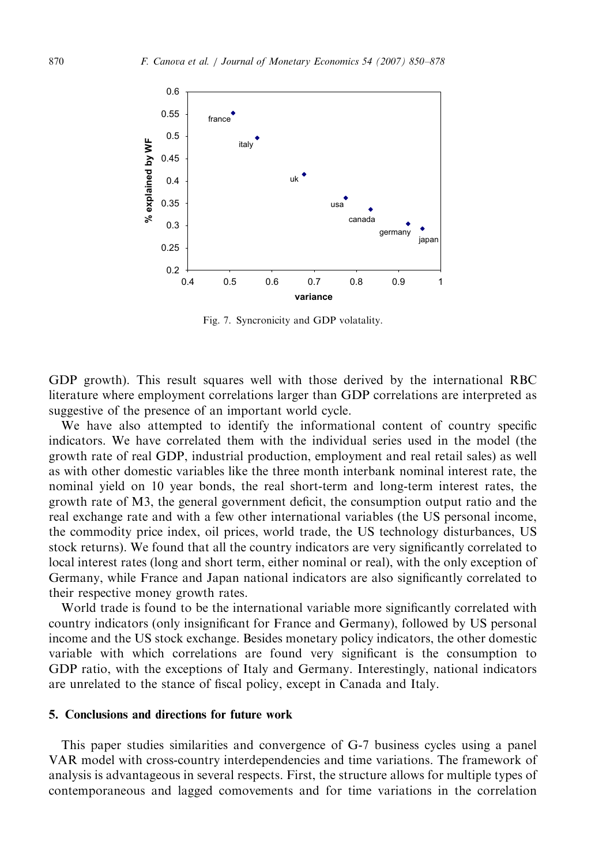<span id="page-20-0"></span>

Fig. 7. Syncronicity and GDP volatality.

GDP growth). This result squares well with those derived by the international RBC literature where employment correlations larger than GDP correlations are interpreted as suggestive of the presence of an important world cycle.

We have also attempted to identify the informational content of country specific indicators. We have correlated them with the individual series used in the model (the growth rate of real GDP, industrial production, employment and real retail sales) as well as with other domestic variables like the three month interbank nominal interest rate, the nominal yield on 10 year bonds, the real short-term and long-term interest rates, the growth rate of M3, the general government deficit, the consumption output ratio and the real exchange rate and with a few other international variables (the US personal income, the commodity price index, oil prices, world trade, the US technology disturbances, US stock returns). We found that all the country indicators are very significantly correlated to local interest rates (long and short term, either nominal or real), with the only exception of Germany, while France and Japan national indicators are also significantly correlated to their respective money growth rates.

World trade is found to be the international variable more significantly correlated with country indicators (only insignificant for France and Germany), followed by US personal income and the US stock exchange. Besides monetary policy indicators, the other domestic variable with which correlations are found very significant is the consumption to GDP ratio, with the exceptions of Italy and Germany. Interestingly, national indicators are unrelated to the stance of fiscal policy, except in Canada and Italy.

# 5. Conclusions and directions for future work

This paper studies similarities and convergence of G-7 business cycles using a panel VAR model with cross-country interdependencies and time variations. The framework of analysis is advantageous in several respects. First, the structure allows for multiple types of contemporaneous and lagged comovements and for time variations in the correlation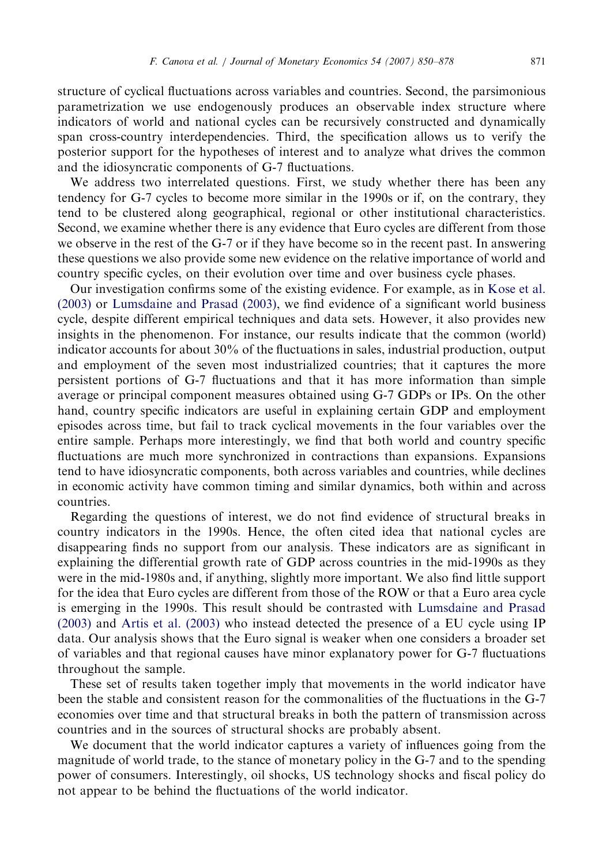structure of cyclical fluctuations across variables and countries. Second, the parsimonious parametrization we use endogenously produces an observable index structure where indicators of world and national cycles can be recursively constructed and dynamically span cross-country interdependencies. Third, the specification allows us to verify the posterior support for the hypotheses of interest and to analyze what drives the common and the idiosyncratic components of G-7 fluctuations.

We address two interrelated questions. First, we study whether there has been any tendency for G-7 cycles to become more similar in the 1990s or if, on the contrary, they tend to be clustered along geographical, regional or other institutional characteristics. Second, we examine whether there is any evidence that Euro cycles are different from those we observe in the rest of the G-7 or if they have become so in the recent past. In answering these questions we also provide some new evidence on the relative importance of world and country specific cycles, on their evolution over time and over business cycle phases.

Our investigation confirms some of the existing evidence. For example, as in [Kose et al.](#page-28-0) [\(2003\)](#page-28-0) or [Lumsdaine and Prasad \(2003\),](#page-28-0) we find evidence of a significant world business cycle, despite different empirical techniques and data sets. However, it also provides new insights in the phenomenon. For instance, our results indicate that the common (world) indicator accounts for about 30% of the fluctuations in sales, industrial production, output and employment of the seven most industrialized countries; that it captures the more persistent portions of G-7 fluctuations and that it has more information than simple average or principal component measures obtained using G-7 GDPs or IPs. On the other hand, country specific indicators are useful in explaining certain GDP and employment episodes across time, but fail to track cyclical movements in the four variables over the entire sample. Perhaps more interestingly, we find that both world and country specific fluctuations are much more synchronized in contractions than expansions. Expansions tend to have idiosyncratic components, both across variables and countries, while declines in economic activity have common timing and similar dynamics, both within and across countries.

Regarding the questions of interest, we do not find evidence of structural breaks in country indicators in the 1990s. Hence, the often cited idea that national cycles are disappearing finds no support from our analysis. These indicators are as significant in explaining the differential growth rate of GDP across countries in the mid-1990s as they were in the mid-1980s and, if anything, slightly more important. We also find little support for the idea that Euro cycles are different from those of the ROW or that a Euro area cycle is emerging in the 1990s. This result should be contrasted with [Lumsdaine and Prasad](#page-28-0) [\(2003\)](#page-28-0) and [Artis et al. \(2003\)](#page-27-0) who instead detected the presence of a EU cycle using IP data. Our analysis shows that the Euro signal is weaker when one considers a broader set of variables and that regional causes have minor explanatory power for G-7 fluctuations throughout the sample.

These set of results taken together imply that movements in the world indicator have been the stable and consistent reason for the commonalities of the fluctuations in the G-7 economies over time and that structural breaks in both the pattern of transmission across countries and in the sources of structural shocks are probably absent.

We document that the world indicator captures a variety of influences going from the magnitude of world trade, to the stance of monetary policy in the G-7 and to the spending power of consumers. Interestingly, oil shocks, US technology shocks and fiscal policy do not appear to be behind the fluctuations of the world indicator.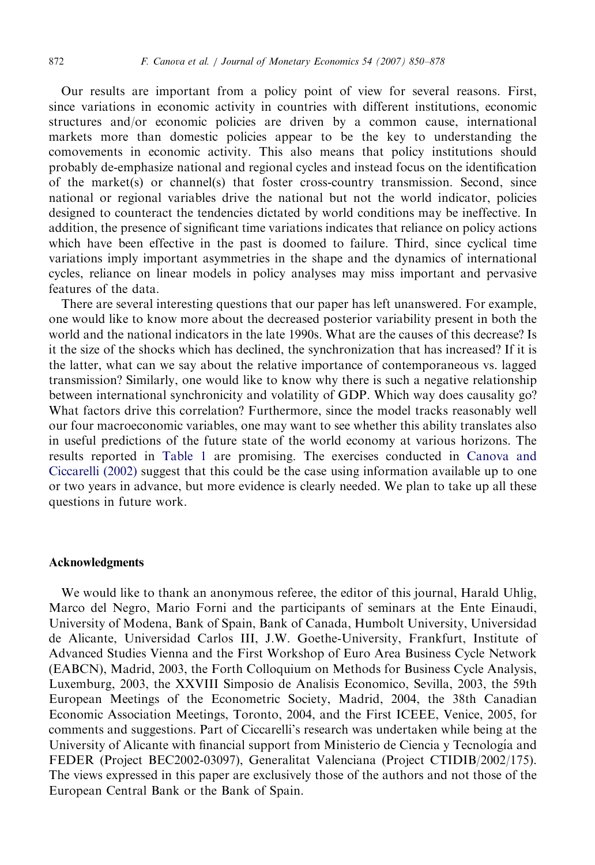Our results are important from a policy point of view for several reasons. First, since variations in economic activity in countries with different institutions, economic structures and/or economic policies are driven by a common cause, international markets more than domestic policies appear to be the key to understanding the comovements in economic activity. This also means that policy institutions should probably de-emphasize national and regional cycles and instead focus on the identification of the market(s) or channel(s) that foster cross-country transmission. Second, since national or regional variables drive the national but not the world indicator, policies designed to counteract the tendencies dictated by world conditions may be ineffective. In addition, the presence of significant time variations indicates that reliance on policy actions which have been effective in the past is doomed to failure. Third, since cyclical time variations imply important asymmetries in the shape and the dynamics of international cycles, reliance on linear models in policy analyses may miss important and pervasive features of the data.

There are several interesting questions that our paper has left unanswered. For example, one would like to know more about the decreased posterior variability present in both the world and the national indicators in the late 1990s. What are the causes of this decrease? Is it the size of the shocks which has declined, the synchronization that has increased? If it is the latter, what can we say about the relative importance of contemporaneous vs. lagged transmission? Similarly, one would like to know why there is such a negative relationship between international synchronicity and volatility of GDP. Which way does causality go? What factors drive this correlation? Furthermore, since the model tracks reasonably well our four macroeconomic variables, one may want to see whether this ability translates also in useful predictions of the future state of the world economy at various horizons. The results reported in [Table 1](#page-9-0) are promising. The exercises conducted in [Canova and](#page-27-0) [Ciccarelli \(2002\)](#page-27-0) suggest that this could be the case using information available up to one or two years in advance, but more evidence is clearly needed. We plan to take up all these questions in future work.

# Acknowledgments

We would like to thank an anonymous referee, the editor of this journal, Harald Uhlig, Marco del Negro, Mario Forni and the participants of seminars at the Ente Einaudi, University of Modena, Bank of Spain, Bank of Canada, Humbolt University, Universidad de Alicante, Universidad Carlos III, J.W. Goethe-University, Frankfurt, Institute of Advanced Studies Vienna and the First Workshop of Euro Area Business Cycle Network (EABCN), Madrid, 2003, the Forth Colloquium on Methods for Business Cycle Analysis, Luxemburg, 2003, the XXVIII Simposio de Analisis Economico, Sevilla, 2003, the 59th European Meetings of the Econometric Society, Madrid, 2004, the 38th Canadian Economic Association Meetings, Toronto, 2004, and the First ICEEE, Venice, 2005, for comments and suggestions. Part of Ciccarelli's research was undertaken while being at the University of Alicante with financial support from Ministerio de Ciencia y Tecnología and FEDER (Project BEC2002-03097), Generalitat Valenciana (Project CTIDIB/2002/175). The views expressed in this paper are exclusively those of the authors and not those of the European Central Bank or the Bank of Spain.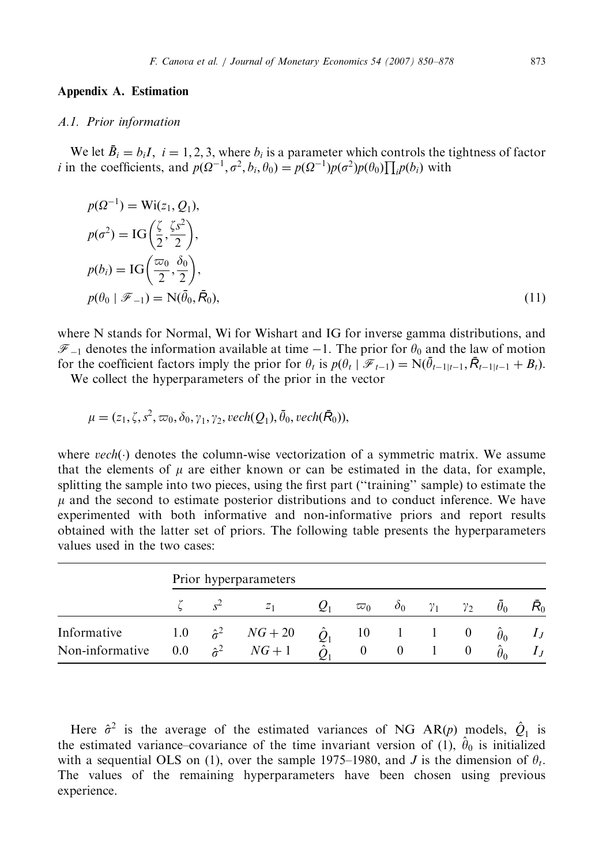# Appendix A. Estimation

### A.1. Prior information

We let  $\bar{B}_i = b_i I$ ,  $i = 1, 2, 3$ , where  $b_i$  is a parameter which controls the tightness of factor i in the coefficients, and  $p(\Omega^{-1}, \sigma^2, b_i, \theta_0) = p(\Omega^{-1})p(\sigma^2)p(\theta_0)\prod_i p(b_i)$  with

$$
p(\Omega^{-1}) = \text{Wi}(z_1, Q_1),
$$
  
\n
$$
p(\sigma^2) = \text{IG}\left(\frac{\zeta}{2}, \frac{\zeta s^2}{2}\right),
$$
  
\n
$$
p(b_i) = \text{IG}\left(\frac{\varpi_0}{2}, \frac{\delta_0}{2}\right),
$$
  
\n
$$
p(\theta_0 \mid \mathcal{F}_{-1}) = \text{N}(\bar{\theta}_0, \bar{R}_0),
$$
\n(11)

where N stands for Normal, Wi for Wishart and IG for inverse gamma distributions, and  $\mathcal{F}_{-1}$  denotes the information available at time  $-1$ . The prior for  $\theta_0$  and the law of motion for the coefficient factors imply the prior for  $\theta_t$  is  $p(\theta_t | \mathcal{F}_{t-1}) = N(\bar{\theta}_{t-1|t-1}, \bar{R}_{t-1|t-1} + B_t)$ .

We collect the hyperparameters of the prior in the vector

 $\mu = (z_1, \zeta, s^2, \varpi_0, \delta_0, \gamma_1, \gamma_2, \text{vech}(Q_1), \bar{\theta}_0, \text{vech}(\bar{R}_0)),$ 

where  $vech()$  denotes the column-wise vectorization of a symmetric matrix. We assume that the elements of  $\mu$  are either known or can be estimated in the data, for example, splitting the sample into two pieces, using the first part (''training'' sample) to estimate the  $\mu$  and the second to estimate posterior distributions and to conduct inference. We have experimented with both informative and non-informative priors and report results obtained with the latter set of priors. The following table presents the hyperparameters values used in the two cases:

|                 | Prior hyperparameters |  |                                                                    |                 |            |              |                       |            |                  |       |
|-----------------|-----------------------|--|--------------------------------------------------------------------|-----------------|------------|--------------|-----------------------|------------|------------------|-------|
|                 |                       |  | $Z_1$                                                              | $\mathcal{Q}_1$ | $\varpi_0$ |              | $\delta_0$ $\gamma_1$ | $\gamma_2$ | $\theta_0$       | $R_0$ |
| Informative     |                       |  | 1.0 $\hat{\sigma}^2$ $NG+20$ $\hat{Q}_1$ 10 1 1 0 $\hat{\theta}_0$ |                 |            |              |                       |            |                  | $I_J$ |
| Non-informative |                       |  | 0.0 $\hat{\sigma}^2$ $NG+1$                                        |                 |            | $0 \qquad 0$ | $\frac{1}{2}$         |            | $\hat{\theta}_0$ | $I_J$ |

Here  $\hat{\sigma}^2$  is the average of the estimated variances of NG AR $(p)$  models,  $\hat{Q}_1$  is the estimated variance–covariance of the time invariant version of (1),  $\hat{\theta}_0$  is initialized with a sequential OLS on (1), over the sample 1975–1980, and J is the dimension of  $\theta_t$ . The values of the remaining hyperparameters have been chosen using previous experience.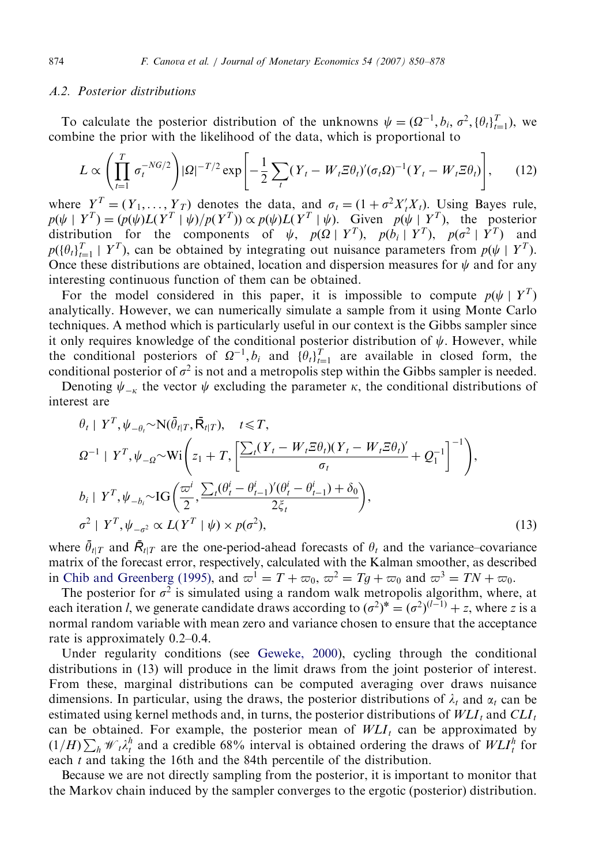# A.2. Posterior distributions

To calculate the posterior distribution of the unknowns  $\psi = (\Omega^{-1}, b_i, \sigma^2, {\{\theta_t\}}_{t=1}^T)$ , we combine the prior with the likelihood of the data, which is proportional to

$$
L \propto \left(\prod_{t=1}^{T} \sigma_t^{-NG/2}\right) |\Omega|^{-T/2} \exp\left[-\frac{1}{2} \sum_{t} (Y_t - W_t \Xi \theta_t)'(\sigma_t \Omega)^{-1} (Y_t - W_t \Xi \theta_t)\right],\tag{12}
$$

where  $Y^T = (Y_1, \ldots, Y_T)$  denotes the data, and  $\sigma_t = (1 + \sigma^2 X_t' X_t)$ . Using Bayes rule,  $p(\psi \mid Y^T) = (p(\psi)L(Y^T \mid \psi)/p(Y^T)) \propto p(\psi)L(Y^T \mid \psi)$ . Given  $p(\psi \mid Y^T)$ , the posterior distribution for the components of  $\psi$ ,  $p(\Omega | Y^T)$ ,  $p(b_i | Y^T)$ ,  $p(\sigma^2 | Y^T)$  and  $p(\{\theta_t\}_{t=1}^T | Y^T)$ , can be obtained by integrating out nuisance parameters from  $p(\psi | Y^T)$ . Once these distributions are obtained, location and dispersion measures for  $\psi$  and for any interesting continuous function of them can be obtained.

For the model considered in this paper, it is impossible to compute  $p(\psi \mid Y^T)$ analytically. However, we can numerically simulate a sample from it using Monte Carlo techniques. A method which is particularly useful in our context is the Gibbs sampler since it only requires knowledge of the conditional posterior distribution of  $\psi$ . However, while the conditional posteriors of  $\Omega^{-1}$ ,  $b_i$  and  $\{\theta_t\}_{t=1}^T$  are available in closed form, the conditional posterior of  $\sigma^2$  is not and a metropolis step within the Gibbs sampler is needed.

Denoting  $\psi_{-\kappa}$  the vector  $\psi$  excluding the parameter  $\kappa$ , the conditional distributions of interest are

$$
\theta_{t} \mid Y^{T}, \psi_{-\theta_{t}} \sim N(\bar{\theta}_{t|T}, \bar{\mathbf{R}}_{t|T}), \quad t \leq T,
$$
\n
$$
\Omega^{-1} \mid Y^{T}, \psi_{-\Omega} \sim Wi \left( z_{1} + T, \left[ \frac{\sum_{i} (Y_{t} - W_{t} \Xi \theta_{t}) (Y_{t} - W_{t} \Xi \theta_{t})'}{\sigma_{t}} + Q_{1}^{-1} \right]^{-1} \right),
$$
\n
$$
b_{i} \mid Y^{T}, \psi_{-b_{i}} \sim \text{IG} \left( \frac{\varpi^{i}}{2}, \frac{\sum_{i} (\theta_{t}^{i} - \theta_{t-1}^{i})' (\theta_{t}^{i} - \theta_{t-1}^{i}) + \delta_{0}}{2 \xi_{t}} \right),
$$
\n
$$
\sigma^{2} \mid Y^{T}, \psi_{-\sigma^{2}} \propto L(Y^{T} \mid \psi) \times p(\sigma^{2}), \tag{13}
$$

where  $\bar{\theta}_{t}$  and  $\bar{R}_{t}$  are the one-period-ahead forecasts of  $\theta_t$  and the variance–covariance matrix of the forecast error, respectively, calculated with the Kalman smoother, as described in [Chib and Greenberg \(1995\),](#page-27-0) and  $\varpi^{\dot{i}} = T + \varpi_0$ ,  $\varpi^2 = Tg + \varpi_0$  and  $\varpi^3 = TN + \varpi_0$ .

The posterior for  $\sigma^2$  is simulated using a random walk metropolis algorithm, where, at each iteration *l*, we generate candidate draws according to  $(\sigma^2)^* = (\sigma^2)^{(l-1)} + z$ , where z is a normal random variable with mean zero and variance chosen to ensure that the acceptance rate is approximately 0.2–0.4.

Under regularity conditions (see [Geweke, 2000\)](#page-28-0), cycling through the conditional distributions in (13) will produce in the limit draws from the joint posterior of interest. From these, marginal distributions can be computed averaging over draws nuisance dimensions. In particular, using the draws, the posterior distributions of  $\lambda_t$  and  $\alpha_t$  can be estimated using kernel methods and, in turns, the posterior distributions of  $WLI_t$  and  $CLI_t$ can be obtained. For example, the posterior mean of  $WLI_t$  can be approximated by  $(1/H)\sum_h \mathcal{W}_i \lambda_i^h$  and a credible 68% interval is obtained ordering the draws of  $WLI_i^h$  for each t and taking the 16th and the 84th percentile of the distribution.

Because we are not directly sampling from the posterior, it is important to monitor that the Markov chain induced by the sampler converges to the ergotic (posterior) distribution.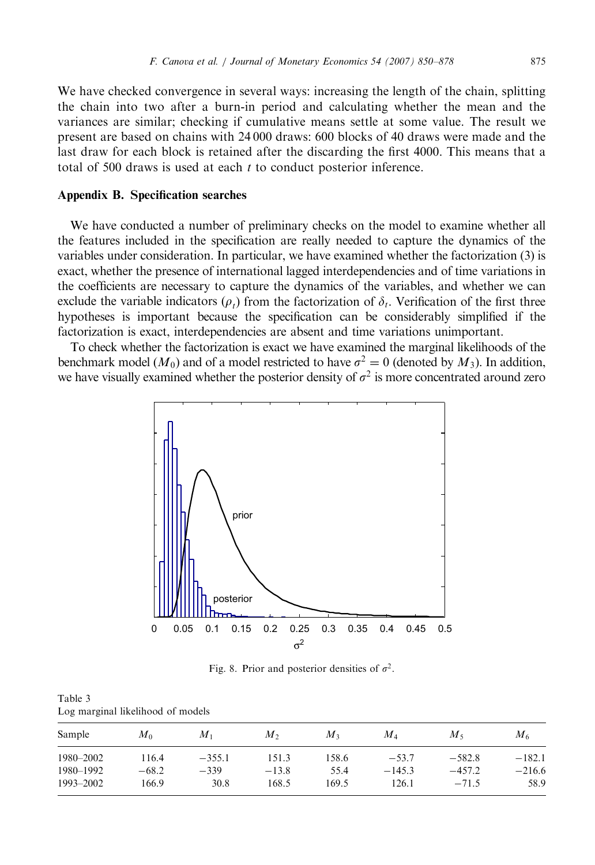<span id="page-25-0"></span>We have checked convergence in several ways: increasing the length of the chain, splitting the chain into two after a burn-in period and calculating whether the mean and the variances are similar; checking if cumulative means settle at some value. The result we present are based on chains with 24 000 draws: 600 blocks of 40 draws were made and the last draw for each block is retained after the discarding the first 4000. This means that a total of 500 draws is used at each  $t$  to conduct posterior inference.

# Appendix B. Specification searches

We have conducted a number of preliminary checks on the model to examine whether all the features included in the specification are really needed to capture the dynamics of the variables under consideration. In particular, we have examined whether the factorization (3) is exact, whether the presence of international lagged interdependencies and of time variations in the coefficients are necessary to capture the dynamics of the variables, and whether we can exclude the variable indicators  $(\rho_t)$  from the factorization of  $\delta_t$ . Verification of the first three hypotheses is important because the specification can be considerably simplified if the factorization is exact, interdependencies are absent and time variations unimportant.

To check whether the factorization is exact we have examined the marginal likelihoods of the benchmark model ( $M_0$ ) and of a model restricted to have  $\sigma^2 = 0$  (denoted by  $M_3$ ). In addition, we have visually examined whether the posterior density of  $\sigma^2$  is more concentrated around zero



Fig. 8. Prior and posterior densities of  $\sigma^2$ .

#### Table 3 Log marginal likelihood of models

| Sample    | $M_{0}$ | $M_{\odot}$ | М,      | $M_3$ | M1       | M s      | $M_6$    |
|-----------|---------|-------------|---------|-------|----------|----------|----------|
| 1980-2002 | 116.4   | $-355.1$    | 151.3   | 158.6 | $-53.7$  | $-582.8$ | $-182.1$ |
| 1980-1992 | $-68.2$ | $-339$      | $-13.8$ | 55.4  | $-145.3$ | $-457.2$ | $-216.6$ |
| 1993-2002 | 166.9   | 30.8        | 168.5   | 169.5 | 126.1    | $-71.5$  | 58.9     |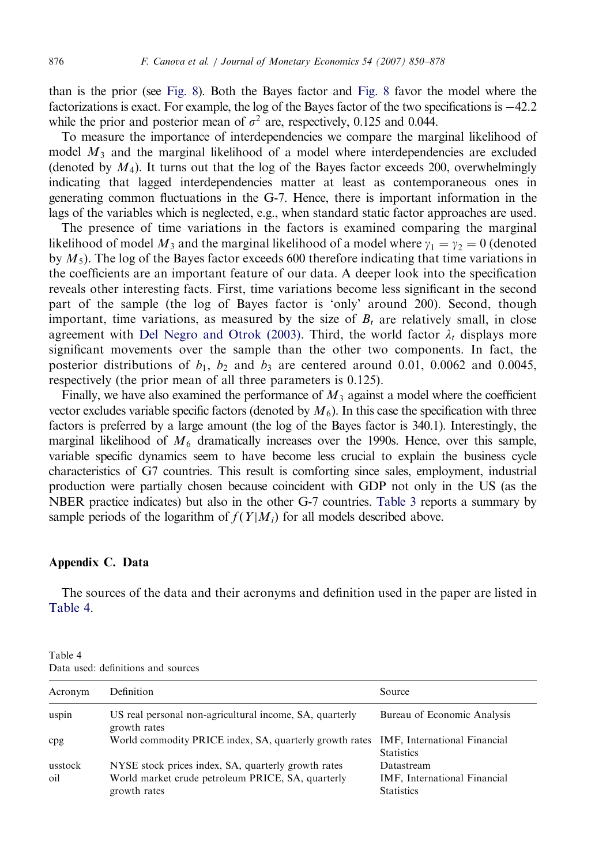<span id="page-26-0"></span>than is the prior (see [Fig. 8\)](#page-25-0). Both the Bayes factor and [Fig. 8](#page-25-0) favor the model where the factorizations is exact. For example, the log of the Bayes factor of the two specifications is  $-42.2$ while the prior and posterior mean of  $\sigma^2$  are, respectively, 0.125 and 0.044.

To measure the importance of interdependencies we compare the marginal likelihood of model  $M_3$  and the marginal likelihood of a model where interdependencies are excluded (denoted by  $M_4$ ). It turns out that the log of the Bayes factor exceeds 200, overwhelmingly indicating that lagged interdependencies matter at least as contemporaneous ones in generating common fluctuations in the G-7. Hence, there is important information in the lags of the variables which is neglected, e.g., when standard static factor approaches are used.

The presence of time variations in the factors is examined comparing the marginal likelihood of model  $M_3$  and the marginal likelihood of a model where  $\gamma_1 = \gamma_2 = 0$  (denoted by  $M_5$ ). The log of the Bayes factor exceeds 600 therefore indicating that time variations in the coefficients are an important feature of our data. A deeper look into the specification reveals other interesting facts. First, time variations become less significant in the second part of the sample (the log of Bayes factor is 'only' around 200). Second, though important, time variations, as measured by the size of  $B_t$  are relatively small, in close agreement with [Del Negro and Otrok \(2003\).](#page-28-0) Third, the world factor  $\lambda_t$  displays more significant movements over the sample than the other two components. In fact, the posterior distributions of  $b_1$ ,  $b_2$  and  $b_3$  are centered around 0.01, 0.0062 and 0.0045, respectively (the prior mean of all three parameters is 0.125).

Finally, we have also examined the performance of  $M_3$  against a model where the coefficient vector excludes variable specific factors (denoted by  $M_6$ ). In this case the specification with three factors is preferred by a large amount (the log of the Bayes factor is 340.1). Interestingly, the marginal likelihood of  $M_6$  dramatically increases over the 1990s. Hence, over this sample, variable specific dynamics seem to have become less crucial to explain the business cycle characteristics of G7 countries. This result is comforting since sales, employment, industrial production were partially chosen because coincident with GDP not only in the US (as the NBER practice indicates) but also in the other G-7 countries. [Table 3](#page-25-0) reports a summary by sample periods of the logarithm of  $f(Y|M_i)$  for all models described above.

# Appendix C. Data

The sources of the data and their acronyms and definition used in the paper are listed in Table 4.

| Table 4                            |  |  |
|------------------------------------|--|--|
| Data used: definitions and sources |  |  |

| Acronym                   | Definition                                                                                                               | Source                                                          |
|---------------------------|--------------------------------------------------------------------------------------------------------------------------|-----------------------------------------------------------------|
| uspin                     | US real personal non-agricultural income, SA, quarterly<br>growth rates                                                  | Bureau of Economic Analysis                                     |
| cpg                       | World commodity PRICE index, SA, quarterly growth rates                                                                  | IMF, International Financial<br><b>Statistics</b>               |
| usstock<br>$\overline{0}$ | NYSE stock prices index, SA, quarterly growth rates<br>World market crude petroleum PRICE, SA, quarterly<br>growth rates | Datastream<br>IMF, International Financial<br><b>Statistics</b> |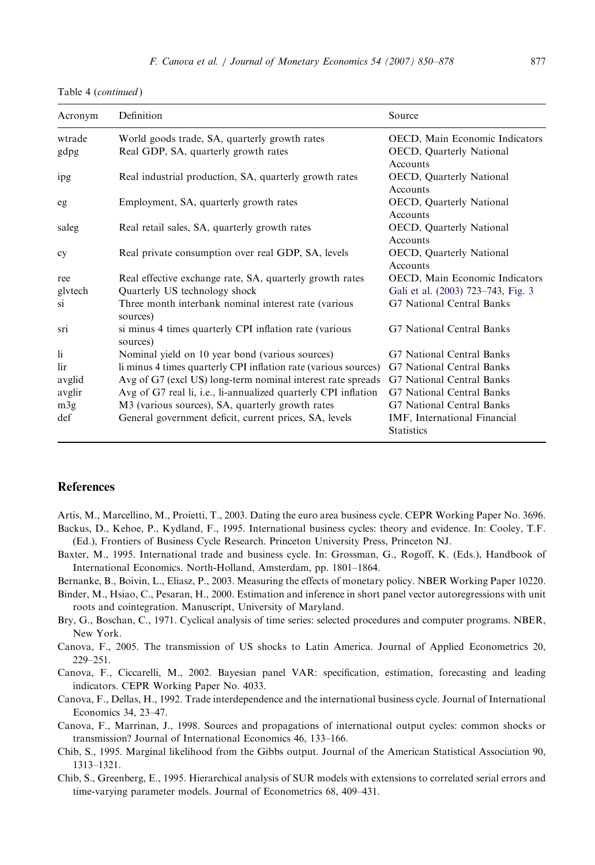<span id="page-27-0"></span>

|  | Table 4 ( <i>continued</i> ) |
|--|------------------------------|
|--|------------------------------|

| Acronym        | Definition                                                                            | Source                                                                 |
|----------------|---------------------------------------------------------------------------------------|------------------------------------------------------------------------|
| wtrade<br>gdpg | World goods trade, SA, quarterly growth rates<br>Real GDP, SA, quarterly growth rates | OECD, Main Economic Indicators<br>OECD, Quarterly National<br>Accounts |
| 1pg            | Real industrial production, SA, quarterly growth rates                                | <b>OECD, Quarterly National</b><br>Accounts                            |
| eg             | Employment, SA, quarterly growth rates                                                | OECD, Quarterly National<br>Accounts                                   |
| saleg          | Real retail sales, SA, quarterly growth rates                                         | <b>OECD, Quarterly National</b><br>Accounts                            |
| cy             | Real private consumption over real GDP, SA, levels                                    | OECD, Quarterly National<br>Accounts                                   |
| ree            | Real effective exchange rate, SA, quarterly growth rates                              | OECD, Main Economic Indicators                                         |
| glytech        | Quarterly US technology shock                                                         | Gali et al. (2003) 723–743, Fig. 3                                     |
| <sub>Si</sub>  | Three month interbank nominal interest rate (various<br>sources)                      | G7 National Central Banks                                              |
| sri            | si minus 4 times quarterly CPI inflation rate (various<br>sources)                    | G7 National Central Banks                                              |
| li             | Nominal yield on 10 year bond (various sources)                                       | G7 National Central Banks                                              |
| lir            | li minus 4 times quarterly CPI inflation rate (various sources)                       | G7 National Central Banks                                              |
| avglid         | Avg of G7 (excl US) long-term nominal interest rate spreads                           | G7 National Central Banks                                              |
| avglir         | Avg of G7 real li, i.e., li-annualized quarterly CPI inflation                        | G7 National Central Banks                                              |
| m3g            | M3 (various sources), SA, quarterly growth rates                                      | G7 National Central Banks                                              |
| def            | General government deficit, current prices, SA, levels                                | IMF, International Financial<br><b>Statistics</b>                      |

# References

- Artis, M., Marcellino, M., Proietti, T., 2003. Dating the euro area business cycle. CEPR Working Paper No. 3696. Backus, D., Kehoe, P., Kydland, F., 1995. International business cycles: theory and evidence. In: Cooley, T.F. (Ed.), Frontiers of Business Cycle Research. Princeton University Press, Princeton NJ.
- Baxter, M., 1995. International trade and business cycle. In: Grossman, G., Rogoff, K. (Eds.), Handbook of International Economics. North-Holland, Amsterdam, pp. 1801–1864.
- Bernanke, B., Boivin, L., Eliasz, P., 2003. Measuring the effects of monetary policy. NBER Working Paper 10220.
- Binder, M., Hsiao, C., Pesaran, H., 2000. Estimation and inference in short panel vector autoregressions with unit roots and cointegration. Manuscript, University of Maryland.
- Bry, G., Boschan, C., 1971. Cyclical analysis of time series: selected procedures and computer programs. NBER, New York.
- Canova, F., 2005. The transmission of US shocks to Latin America. Journal of Applied Econometrics 20, 229–251.
- Canova, F., Ciccarelli, M., 2002. Bayesian panel VAR: specification, estimation, forecasting and leading indicators. CEPR Working Paper No. 4033.
- Canova, F., Dellas, H., 1992. Trade interdependence and the international business cycle. Journal of International Economics 34, 23–47.
- Canova, F., Marrinan, J., 1998. Sources and propagations of international output cycles: common shocks or transmission? Journal of International Economics 46, 133–166.
- Chib, S., 1995. Marginal likelihood from the Gibbs output. Journal of the American Statistical Association 90, 1313–1321.
- Chib, S., Greenberg, E., 1995. Hierarchical analysis of SUR models with extensions to correlated serial errors and time-varying parameter models. Journal of Econometrics 68, 409–431.